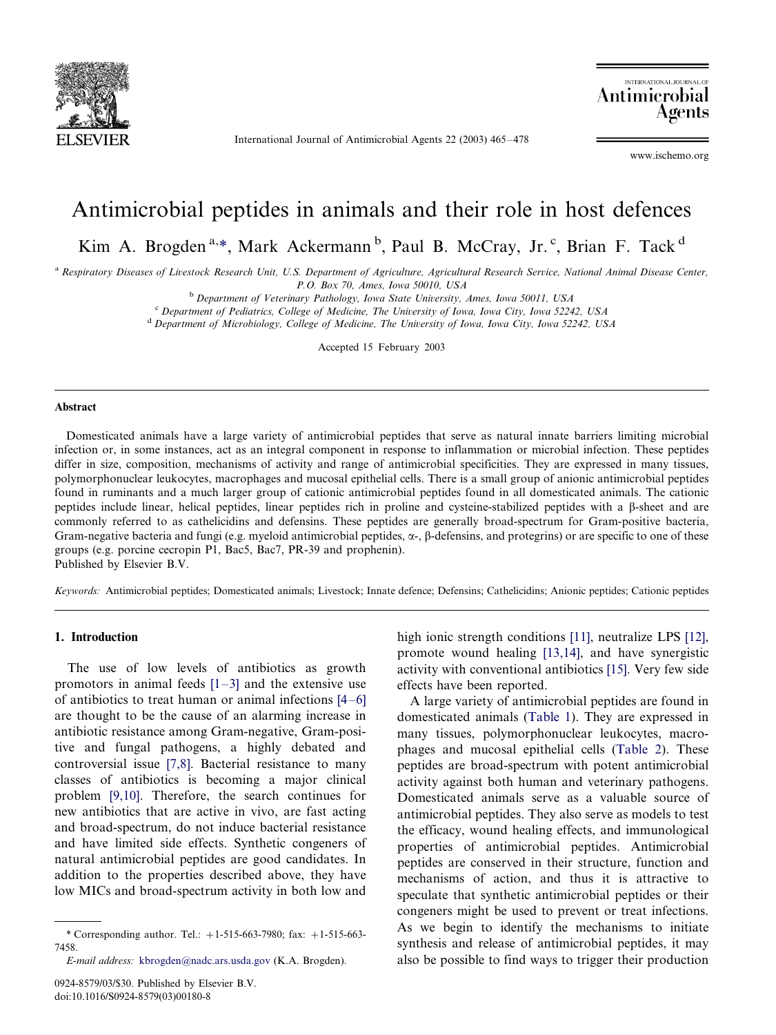

International Journal of Antimicrobial Agents 22 (2003) 465-478

INTERNATIONAL JOURNAL Antimicrobial Agents

www.ischemo.org

# Antimicrobial peptides in animals and their role in host defences

Kim A. Brogden<sup>a,\*</sup>, Mark Ackermann<sup>b</sup>, Paul B. McCray, Jr.<sup>c</sup>, Brian F. Tack<sup>d</sup>

<sup>a</sup> Respiratory Diseases of Livestock Research Unit, U.S. Department of Agriculture, Agricultural Research Service, National Animal Disease Center, P.O. Box 70, Ames, Iowa 50010, USA

<sup>b</sup> Department of Veterinary Pathology, Iowa State University, Ames, Iowa 50011, USA<br>
<sup>c</sup> Department of Pediatrics, College of Medicine, The University of Iowa, Iowa City, Iowa 52242, USA<br>
<sup>d</sup> Department of Microbiology, C

Accepted 15 February 2003

#### Abstract

Domesticated animals have a large variety of antimicrobial peptides that serve as natural innate barriers limiting microbial infection or, in some instances, act as an integral component in response to inflammation or microbial infection. These peptides differ in size, composition, mechanisms of activity and range of antimicrobial specificities. They are expressed in many tissues, polymorphonuclear leukocytes, macrophages and mucosal epithelial cells. There is a small group of anionic antimicrobial peptides found in ruminants and a much larger group of cationic antimicrobial peptides found in all domesticated animals. The cationic peptides include linear, helical peptides, linear peptides rich in proline and cysteine-stabilized peptides with a b-sheet and are commonly referred to as cathelicidins and defensins. These peptides are generally broad-spectrum for Gram-positive bacteria, Gram-negative bacteria and fungi (e.g. myeloid antimicrobial peptides,  $\alpha$ -,  $\beta$ -defensins, and protegrins) or are specific to one of these groups (e.g. porcine cecropin P1, Bac5, Bac7, PR-39 and prophenin). Published by Elsevier B.V.

Keywords: Antimicrobial peptides; Domesticated animals; Livestock; Innate defence; Defensins; Cathelicidins; Anionic peptides; Cationic peptides

## 1. Introduction

The use of low levels of antibiotics as growth promotors in animal feeds  $[1-3]$  $[1-3]$  and the extensive use of antibiotics to treat human or animal infections  $[4-6]$  $[4-6]$ are thought to be the cause of an alarming increase in antibiotic resistance among Gram-negative, Gram-positive and fungal pathogens, a highly debated and controversial issue [\[7,8\]](#page-10-0). Bacterial resistance to many classes of antibiotics is becoming a major clinical problem [\[9,10\]](#page-10-0). Therefore, the search continues for new antibiotics that are active in vivo, are fast acting and broad-spectrum, do not induce bacterial resistance and have limited side effects. Synthetic congeners of natural antimicrobial peptides are good candidates. In addition to the properties described above, they have low MICs and broad-spectrum activity in both low and

high ionic strength conditions [\[11\],](#page-10-0) neutralize LPS [\[12\]](#page-10-0), promote wound healing [\[13,14\]](#page-10-0), and have synergistic activity with conventional antibiotics [\[15\]](#page-10-0). Very few side effects have been reported.

A large variety of antimicrobial peptides are found in domesticated animals [\(Table 1](#page-1-0)). They are expressed in many tissues, polymorphonuclear leukocytes, macrophages and mucosal epithelial cells ([Table 2\)](#page-2-0). These peptides are broad-spectrum with potent antimicrobial activity against both human and veterinary pathogens. Domesticated animals serve as a valuable source of antimicrobial peptides. They also serve as models to test the efficacy, wound healing effects, and immunological properties of antimicrobial peptides. Antimicrobial peptides are conserved in their structure, function and mechanisms of action, and thus it is attractive to speculate that synthetic antimicrobial peptides or their congeners might be used to prevent or treat infections. As we begin to identify the mechanisms to initiate synthesis and release of antimicrobial peptides, it may also be possible to find ways to trigger their production

<sup>\*</sup> Corresponding author. Tel.:  $+1-515-663-7980$ ; fax:  $+1-515-663-$ 7458.

E-mail address: [kbrogden@nadc.ars.usda.go](mailto:kbrogden@nadc.ars.usda.gov)v (K.A. Brogden).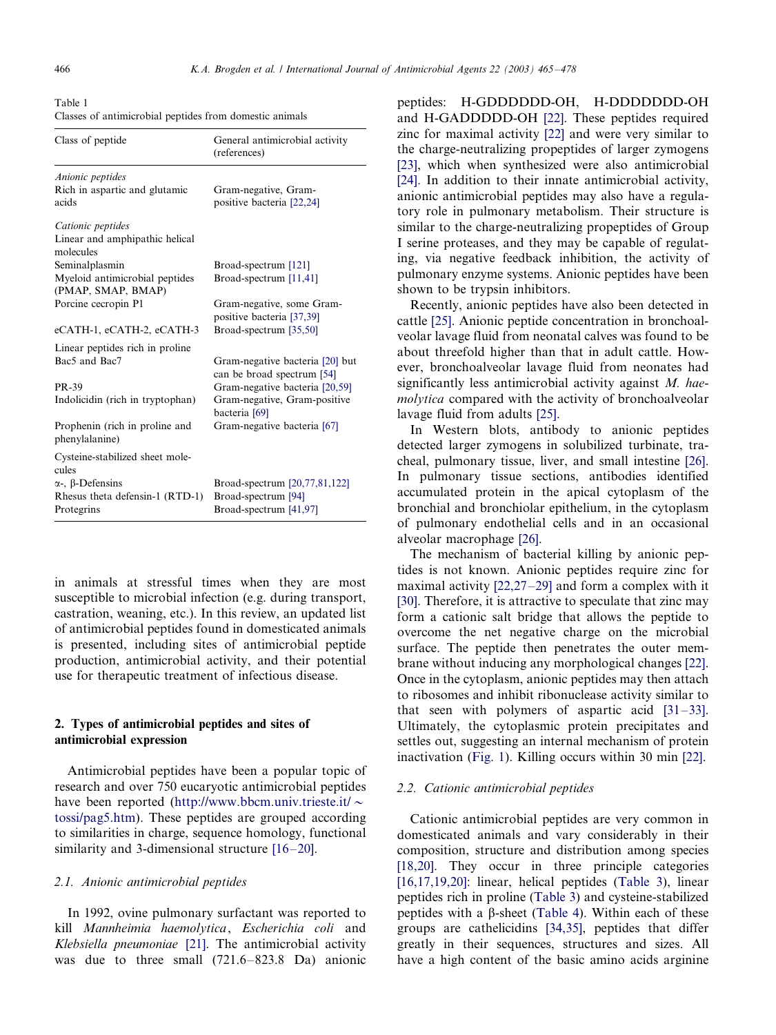<span id="page-1-0"></span>Table 1 Classes of antimicrobial peptides from domestic animals

| Class of peptide                                             | General antimicrobial activity<br>(references)                |
|--------------------------------------------------------------|---------------------------------------------------------------|
| Anionic peptides<br>Rich in aspartic and glutamic<br>acids   | Gram-negative, Gram-<br>positive bacteria [22,24]             |
| Cationic peptides                                            |                                                               |
| Linear and amphipathic helical<br>molecules                  |                                                               |
| Seminalplasmin                                               | Broad-spectrum [121]                                          |
| Myeloid antimicrobial peptides<br>(PMAP, SMAP, BMAP)         | Broad-spectrum [11,41]                                        |
| Porcine cecropin P1                                          | Gram-negative, some Gram-                                     |
|                                                              | positive bacteria [37,39]                                     |
| eCATH-1, eCATH-2, eCATH-3                                    | Broad-spectrum [35,50]                                        |
| Linear peptides rich in proline<br>Bac <sub>5</sub> and Bac7 | Gram-negative bacteria [20] but<br>can be broad spectrum [54] |
| PR-39                                                        | Gram-negative bacteria [20,59]                                |
| Indolicidin (rich in tryptophan)                             | Gram-negative, Gram-positive<br>bacteria [69]                 |
| Prophenin (rich in proline and<br>phenylalanine)             | Gram-negative bacteria [67]                                   |
| Cysteine-stabilized sheet mole-<br>cules                     |                                                               |
| $\alpha$ -, $\beta$ -Defensins                               | Broad-spectrum [20,77,81,122]                                 |
| Rhesus theta defensin-1 (RTD-1)                              | Broad-spectrum [94]                                           |
| Protegrins                                                   | Broad-spectrum [41,97]                                        |

in animals at stressful times when they are most susceptible to microbial infection (e.g. during transport, castration, weaning, etc.). In this review, an updated list of antimicrobial peptides found in domesticated animals is presented, including sites of antimicrobial peptide production, antimicrobial activity, and their potential use for therapeutic treatment of infectious disease.

# 2. Types of antimicrobial peptides and sites of antimicrobial expression

Antimicrobial peptides have been a popular topic of research and over 750 eucaryotic antimicrobial peptides have been reported [\(http://www.bbcm.uni](http://www.bbcm.univ.trieste.it/~tossi/pag5.htm)v.trieste.it[/](http://www.bbcm.univ.trieste.it/~tossi/pag5.htm) $\sim$ [tossi/pag5.htm](http://www.bbcm.univ.trieste.it/~tossi/pag5.htm)). These peptides are grouped according to similarities in charge, sequence homology, functional similarity and 3-dimensional structure  $[16-20]$  $[16-20]$ .

## 2.1. Anionic antimicrobial peptides

In 1992, ovine pulmonary surfactant was reported to kill Mannheimia haemolytica, Escherichia coli and Klebsiella pneumoniae [\[21\]](#page-10-0). The antimicrobial activity was due to three small  $(721.6-823.8)$  Da) anionic

peptides: H-GDDDDDD-OH, H-DDDDDDD-OH and H-GADDDDD-OH [\[22\].](#page-10-0) These peptides required zinc for maximal activity [\[22\]](#page-10-0) and were very similar to the charge-neutralizing propeptides of larger zymogens [\[23\]](#page-10-0), which when synthesized were also antimicrobial [\[24\]](#page-10-0). In addition to their innate antimicrobial activity, anionic antimicrobial peptides may also have a regulatory role in pulmonary metabolism. Their structure is similar to the charge-neutralizing propeptides of Group I serine proteases, and they may be capable of regulating, via negative feedback inhibition, the activity of pulmonary enzyme systems. Anionic peptides have been shown to be trypsin inhibitors.

Recently, anionic peptides have also been detected in cattle [\[25\]](#page-10-0). Anionic peptide concentration in bronchoalveolar lavage fluid from neonatal calves was found to be about threefold higher than that in adult cattle. However, bronchoalveolar lavage fluid from neonates had significantly less antimicrobial activity against M. haemolytica compared with the activity of bronchoalveolar lavage fluid from adults [\[25\]](#page-10-0).

In Western blots, antibody to anionic peptides detected larger zymogens in solubilized turbinate, tracheal, pulmonary tissue, liver, and small intestine [\[26\]](#page-10-0). In pulmonary tissue sections, antibodies identified accumulated protein in the apical cytoplasm of the bronchial and bronchiolar epithelium, in the cytoplasm of pulmonary endothelial cells and in an occasional alveolar macrophage [\[26\]](#page-10-0).

The mechanism of bacterial killing by anionic peptides is not known. Anionic peptides require zinc for maximal activity  $[22,27-29]$  $[22,27-29]$  and form a complex with it [\[30\]](#page-11-0). Therefore, it is attractive to speculate that zinc may form a cationic salt bridge that allows the peptide to overcome the net negative charge on the microbial surface. The peptide then penetrates the outer membrane without inducing any morphological changes [\[22\]](#page-10-0). Once in the cytoplasm, anionic peptides may then attach to ribosomes and inhibit ribonuclease activity similar to that seen with polymers of aspartic acid  $[31-33]$  $[31-33]$ . Ultimately, the cytoplasmic protein precipitates and settles out, suggesting an internal mechanism of protein inactivation [\(Fig. 1](#page-3-0)). Killing occurs within 30 min [\[22\]](#page-10-0).

# 2.2. Cationic antimicrobial peptides

Cationic antimicrobial peptides are very common in domesticated animals and vary considerably in their composition, structure and distribution among species [\[18,20\].](#page-10-0) They occur in three principle categories [\[16,17,19,20\]](#page-10-0): linear, helical peptides [\(Table 3\)](#page-4-0), linear peptides rich in proline ([Table 3\)](#page-4-0) and cysteine-stabilized peptides with a  $\beta$ -sheet ([Table 4](#page-5-0)). Within each of these groups are cathelicidins [\[34,35\],](#page-11-0) peptides that differ greatly in their sequences, structures and sizes. All have a high content of the basic amino acids arginine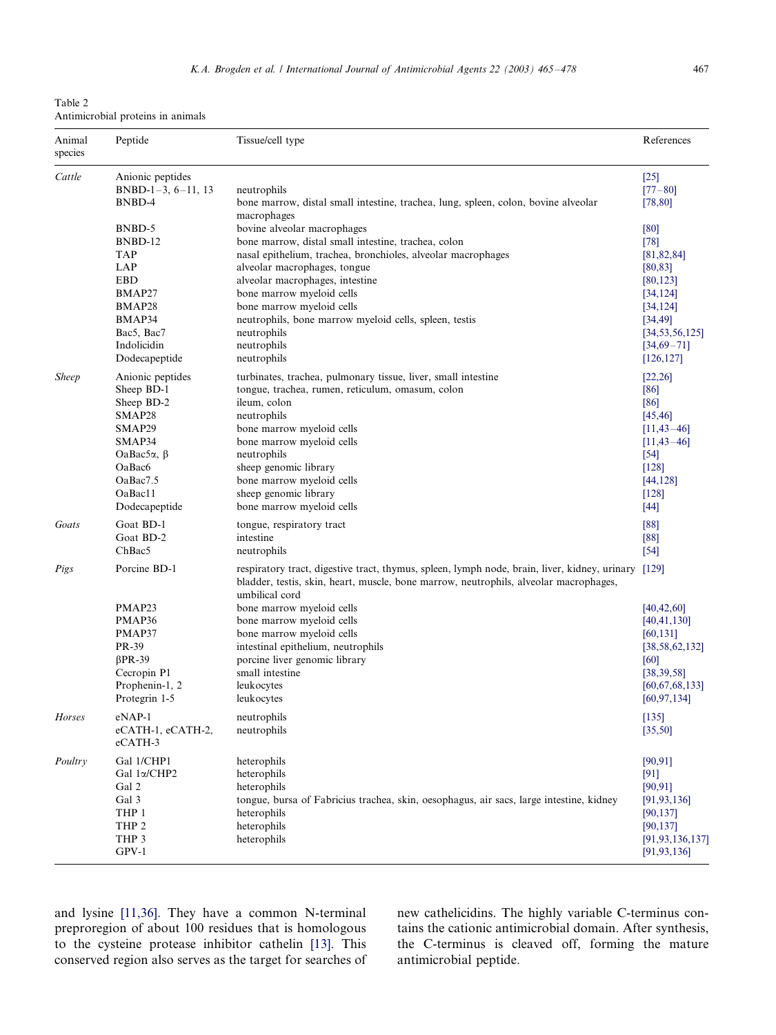<span id="page-2-0"></span>Table 2 Antimicrobial proteins in animals

| Animal<br>species | Peptide                                                                                                                | Tissue/cell type                                                                                                                                                                                                                                                                                                                                                                                                            | References                                                                                                                    |
|-------------------|------------------------------------------------------------------------------------------------------------------------|-----------------------------------------------------------------------------------------------------------------------------------------------------------------------------------------------------------------------------------------------------------------------------------------------------------------------------------------------------------------------------------------------------------------------------|-------------------------------------------------------------------------------------------------------------------------------|
| Cattle            | Anionic peptides                                                                                                       | neutrophils                                                                                                                                                                                                                                                                                                                                                                                                                 | $[25]$                                                                                                                        |
|                   | BNBD-1-3, $6-11$ , 13                                                                                                  | bone marrow, distal small intestine, trachea, lung, spleen, colon, bovine alveolar                                                                                                                                                                                                                                                                                                                                          | $[77 - 80]$                                                                                                                   |
|                   | BNBD-4                                                                                                                 | macrophages                                                                                                                                                                                                                                                                                                                                                                                                                 | [78, 80]                                                                                                                      |
|                   | BNBD-5                                                                                                                 | bovine alveolar macrophages                                                                                                                                                                                                                                                                                                                                                                                                 | [80]                                                                                                                          |
|                   | BNBD-12                                                                                                                | bone marrow, distal small intestine, trachea, colon                                                                                                                                                                                                                                                                                                                                                                         | $[78]$                                                                                                                        |
|                   | <b>TAP</b>                                                                                                             | nasal epithelium, trachea, bronchioles, alveolar macrophages                                                                                                                                                                                                                                                                                                                                                                | [81, 82, 84]                                                                                                                  |
|                   | LAP                                                                                                                    | alveolar macrophages, tongue                                                                                                                                                                                                                                                                                                                                                                                                | [80, 83]                                                                                                                      |
|                   | <b>EBD</b>                                                                                                             | alveolar macrophages, intestine                                                                                                                                                                                                                                                                                                                                                                                             | [80, 123]                                                                                                                     |
|                   | BMAP27                                                                                                                 | bone marrow myeloid cells                                                                                                                                                                                                                                                                                                                                                                                                   | [34, 124]                                                                                                                     |
|                   | BMAP28                                                                                                                 | bone marrow myeloid cells                                                                                                                                                                                                                                                                                                                                                                                                   | [34, 124]                                                                                                                     |
|                   | BMAP34                                                                                                                 | neutrophils, bone marrow myeloid cells, spleen, testis                                                                                                                                                                                                                                                                                                                                                                      | [34, 49]                                                                                                                      |
|                   | Bac5, Bac7                                                                                                             | neutrophils                                                                                                                                                                                                                                                                                                                                                                                                                 | [34, 53, 56, 125]                                                                                                             |
|                   | Indolicidin                                                                                                            | neutrophils                                                                                                                                                                                                                                                                                                                                                                                                                 | $[34,69-71]$                                                                                                                  |
|                   | Dodecapeptide                                                                                                          | neutrophils                                                                                                                                                                                                                                                                                                                                                                                                                 | [126, 127]                                                                                                                    |
| <b>Sheep</b>      | Anionic peptides                                                                                                       | turbinates, trachea, pulmonary tissue, liver, small intestine                                                                                                                                                                                                                                                                                                                                                               | [22, 26]                                                                                                                      |
|                   | Sheep BD-1                                                                                                             | tongue, trachea, rumen, reticulum, omasum, colon                                                                                                                                                                                                                                                                                                                                                                            | [86]                                                                                                                          |
|                   | Sheep BD-2                                                                                                             | ileum, colon                                                                                                                                                                                                                                                                                                                                                                                                                | [86]                                                                                                                          |
|                   | SMAP28                                                                                                                 | neutrophils                                                                                                                                                                                                                                                                                                                                                                                                                 | [45, 46]                                                                                                                      |
|                   | SMAP29                                                                                                                 | bone marrow myeloid cells                                                                                                                                                                                                                                                                                                                                                                                                   | $[11, 43 - 46]$                                                                                                               |
|                   | SMAP34                                                                                                                 | bone marrow myeloid cells                                                                                                                                                                                                                                                                                                                                                                                                   | $[11, 43 - 46]$                                                                                                               |
|                   | OaBac5α, β                                                                                                             | neutrophils                                                                                                                                                                                                                                                                                                                                                                                                                 | $[54]$                                                                                                                        |
|                   | OaBac <sub>6</sub>                                                                                                     | sheep genomic library                                                                                                                                                                                                                                                                                                                                                                                                       | [128]                                                                                                                         |
|                   | OaBac7.5                                                                                                               | bone marrow myeloid cells                                                                                                                                                                                                                                                                                                                                                                                                   | [44, 128]                                                                                                                     |
|                   | OaBac11                                                                                                                | sheep genomic library                                                                                                                                                                                                                                                                                                                                                                                                       | [128]                                                                                                                         |
|                   | Dodecapeptide                                                                                                          | bone marrow myeloid cells                                                                                                                                                                                                                                                                                                                                                                                                   | $[44]$                                                                                                                        |
| Goats             | Goat BD-1                                                                                                              | tongue, respiratory tract                                                                                                                                                                                                                                                                                                                                                                                                   | [88]                                                                                                                          |
|                   | Goat BD-2                                                                                                              | intestine                                                                                                                                                                                                                                                                                                                                                                                                                   | $[88]$                                                                                                                        |
|                   | ChBac5                                                                                                                 | neutrophils                                                                                                                                                                                                                                                                                                                                                                                                                 | $[54]$                                                                                                                        |
| Pigs              | Porcine BD-1<br>PMAP23<br>PMAP36<br>PMAP37<br>PR-39<br>$\beta$ PR-39<br>Cecropin P1<br>Prophenin-1, 2<br>Protegrin 1-5 | respiratory tract, digestive tract, thymus, spleen, lymph node, brain, liver, kidney, urinary [129]<br>bladder, testis, skin, heart, muscle, bone marrow, neutrophils, alveolar macrophages,<br>umbilical cord<br>bone marrow myeloid cells<br>bone marrow myeloid cells<br>bone marrow myeloid cells<br>intestinal epithelium, neutrophils<br>porcine liver genomic library<br>small intestine<br>leukocytes<br>leukocytes | [40, 42, 60]<br>[40, 41, 130]<br>[60, 131]<br>[38, 58, 62, 132]<br>[60]<br>[38, 39, 58]<br>[60, 67, 68, 133]<br>[60, 97, 134] |
| Horses            | eNAP-1<br>eCATH-1, eCATH-2,<br>eCATH-3                                                                                 | neutrophils<br>neutrophils                                                                                                                                                                                                                                                                                                                                                                                                  | [135]<br>[35,50]                                                                                                              |
| Poultry           | Gal 1/CHP1<br>Gal 1a/CHP2<br>Gal 2<br>Gal 3<br>THP 1<br>THP <sub>2</sub><br>THP 3<br>$GPV-1$                           | heterophils<br>heterophils<br>heterophils<br>tongue, bursa of Fabricius trachea, skin, oesophagus, air sacs, large intestine, kidney<br>heterophils<br>heterophils<br>heterophils                                                                                                                                                                                                                                           | [90, 91]<br>$[91]$<br>[90, 91]<br>[91, 93, 136]<br>[90, 137]<br>[90, 137]<br>[91, 93, 136, 137]<br>[91, 93, 136]              |

and lysine [\[11,36\].](#page-10-0) They have a common N-terminal preproregion of about 100 residues that is homologous to the cysteine protease inhibitor cathelin [\[13\].](#page-10-0) This conserved region also serves as the target for searches of new cathelicidins. The highly variable C-terminus contains the cationic antimicrobial domain. After synthesis, the C-terminus is cleaved off, forming the mature antimicrobial peptide.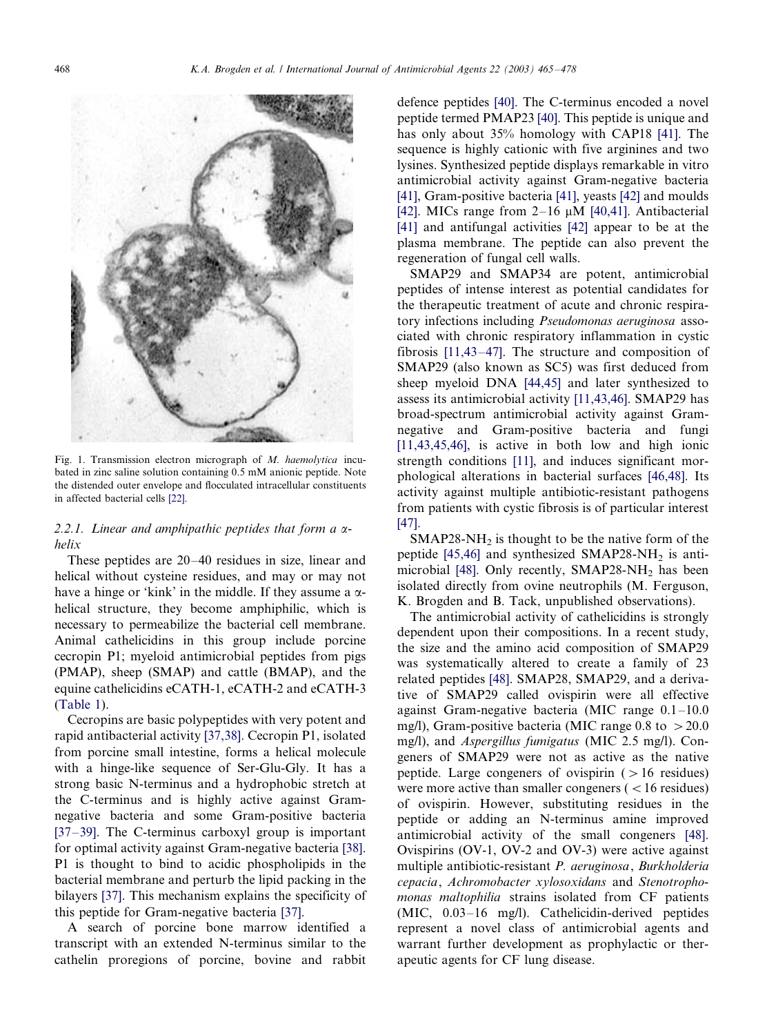<span id="page-3-0"></span>

Fig. 1. Transmission electron micrograph of M. haemolytica incubated in zinc saline solution containing 0.5 mM anionic peptide. Note the distended outer envelope and flocculated intracellular constituents in affected bacterial cells [\[22\].](#page-10-0)

# 2.2.1. Linear and amphipathic peptides that form a  $\alpha$ helix

These peptides are  $20-40$  residues in size, linear and helical without cysteine residues, and may or may not have a hinge or 'kink' in the middle. If they assume a  $\alpha$ helical structure, they become amphiphilic, which is necessary to permeabilize the bacterial cell membrane. Animal cathelicidins in this group include porcine cecropin P1; myeloid antimicrobial peptides from pigs (PMAP), sheep (SMAP) and cattle (BMAP), and the equine cathelicidins eCATH-1, eCATH-2 and eCATH-3 [\(Table 1\)](#page-1-0).

Cecropins are basic polypeptides with very potent and rapid antibacterial activity [\[37,38\].](#page-11-0) Cecropin P1, isolated from porcine small intestine, forms a helical molecule with a hinge-like sequence of Ser-Glu-Gly. It has a strong basic N-terminus and a hydrophobic stretch at the C-terminus and is highly active against Gramnegative bacteria and some Gram-positive bacteria  $[37-39]$  $[37-39]$ . The C-terminus carboxyl group is important for optimal activity against Gram-negative bacteria [\[38\]](#page-11-0). P1 is thought to bind to acidic phospholipids in the bacterial membrane and perturb the lipid packing in the bilayers [\[37\]](#page-11-0). This mechanism explains the specificity of this peptide for Gram-negative bacteria [\[37\]](#page-11-0).

A search of porcine bone marrow identified a transcript with an extended N-terminus similar to the cathelin proregions of porcine, bovine and rabbit

defence peptides [\[40\].](#page-11-0) The C-terminus encoded a novel peptide termed PMAP23 [\[40\].](#page-11-0) This peptide is unique and has only about 35% homology with CAP18 [\[41\]](#page-11-0). The sequence is highly cationic with five arginines and two lysines. Synthesized peptide displays remarkable in vitro antimicrobial activity against Gram-negative bacteria [\[41\]](#page-11-0), Gram-positive bacteria [\[41\]](#page-11-0), yeasts [\[42\]](#page-11-0) and moulds [\[42\]](#page-11-0). MICs range from  $2-16 \mu M$  [\[40,41\]](#page-11-0). Antibacterial [\[41\]](#page-11-0) and antifungal activities [\[42\]](#page-11-0) appear to be at the plasma membrane. The peptide can also prevent the regeneration of fungal cell walls.

SMAP29 and SMAP34 are potent, antimicrobial peptides of intense interest as potential candidates for the therapeutic treatment of acute and chronic respiratory infections including Pseudomonas aeruginosa associated with chronic respiratory inflammation in cystic fibrosis  $[11,43-47]$  $[11,43-47]$ . The structure and composition of SMAP29 (also known as SC5) was first deduced from sheep myeloid DNA [\[44,45\]](#page-11-0) and later synthesized to assess its antimicrobial activity [\[11,43,46\]](#page-10-0). SMAP29 has broad-spectrum antimicrobial activity against Gramnegative and Gram-positive bacteria and fungi [\[11,43,45,46\]](#page-10-0), is active in both low and high ionic strength conditions [\[11\]](#page-10-0), and induces significant morphological alterations in bacterial surfaces [\[46,48\]](#page-11-0). Its activity against multiple antibiotic-resistant pathogens from patients with cystic fibrosis is of particular interest [\[47\]](#page-11-0).

 $SMAP28-NH<sub>2</sub>$  is thought to be the native form of the peptide [\[45,46\]](#page-11-0) and synthesized SMAP28-NH<sub>2</sub> is anti-microbial [\[48\]](#page-11-0). Only recently,  $SMAP28-NH<sub>2</sub>$  has been isolated directly from ovine neutrophils (M. Ferguson, K. Brogden and B. Tack, unpublished observations).

The antimicrobial activity of cathelicidins is strongly dependent upon their compositions. In a recent study, the size and the amino acid composition of SMAP29 was systematically altered to create a family of 23 related peptides [\[48\].](#page-11-0) SMAP28, SMAP29, and a derivative of SMAP29 called ovispirin were all effective against Gram-negative bacteria (MIC range  $0.1-10.0$ mg/l), Gram-positive bacteria (MIC range  $0.8$  to  $>20.0$ mg/l), and Aspergillus fumigatus (MIC 2.5 mg/l). Congeners of SMAP29 were not as active as the native peptide. Large congeners of ovispirin  $($  > 16 residues) were more active than smaller congeners  $($  < 16 residues) of ovispirin. However, substituting residues in the peptide or adding an N-terminus amine improved antimicrobial activity of the small congeners [\[48\]](#page-11-0). Ovispirins (OV-1, OV-2 and OV-3) were active against multiple antibiotic-resistant P. aeruginosa, Burkholderia cepacia, Achromobacter xylosoxidans and Stenotrophomonas maltophilia strains isolated from CF patients  $(MIC, 0.03-16$  mg/l). Cathelicidin-derived peptides represent a novel class of antimicrobial agents and warrant further development as prophylactic or therapeutic agents for CF lung disease.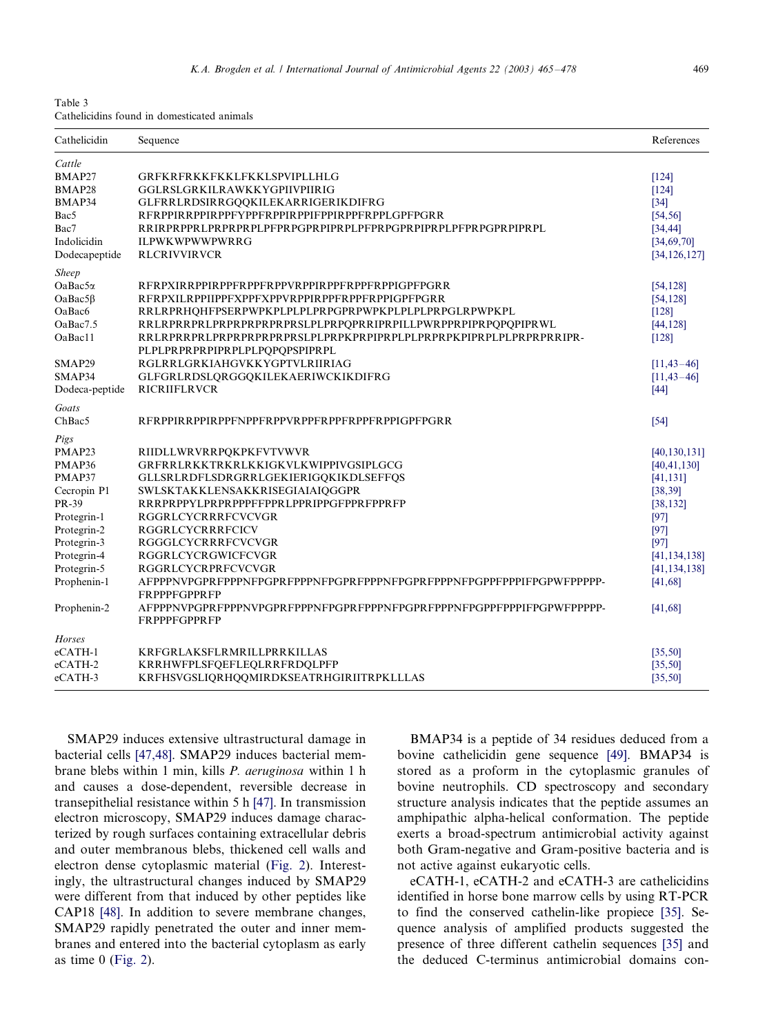<span id="page-4-0"></span>

| Table 3 |  |                                             |  |
|---------|--|---------------------------------------------|--|
|         |  | Cathelicidins found in domesticated animals |  |

| Cathelicidin                                                                                                                                                        | Sequence                                                                                                                                                                                                                                                                                                                                                                                                                                                                                                                     | References                                                                                                                                                    |
|---------------------------------------------------------------------------------------------------------------------------------------------------------------------|------------------------------------------------------------------------------------------------------------------------------------------------------------------------------------------------------------------------------------------------------------------------------------------------------------------------------------------------------------------------------------------------------------------------------------------------------------------------------------------------------------------------------|---------------------------------------------------------------------------------------------------------------------------------------------------------------|
| Cattle<br>BMAP27<br>BMAP28<br>BMAP34<br>Bac5<br>Bac7<br>Indolicidin                                                                                                 | GRFKRFRKKFKKLFKKLSPVIPLLHLG<br>GGLRSLGRKILRAWKKYGPIIVPIIRIG<br>GLFRRLRDSIRRGQQKILEKARRIGERIKDIFRG<br>RFRPPIRRPPIRPPFYPPFRPPIRPPIFPPIRPPFRPPLGPFPGRR<br>RRIRPRPPRLPRPRPRPLPFPRPGPRPIPRPLPFPRPGPRPIPRPLPFPRPGPRPIPRPL<br><b>ILPWKWPWWPWRRG</b>                                                                                                                                                                                                                                                                                 | [124]<br>[124]<br>$[34]$<br>[54, 56]<br>[34, 44]<br>[34, 69, 70]                                                                                              |
| Dodecapeptide                                                                                                                                                       | <b>RLCRIVVIRVCR</b>                                                                                                                                                                                                                                                                                                                                                                                                                                                                                                          | [34, 126, 127]                                                                                                                                                |
| <b>Sheep</b><br>OaBac5a<br>$OaBac5\beta$<br>OaBac6<br>OaBac7.5<br>OaBac11<br>SMAP29<br>SMAP34<br>Dodeca-peptide                                                     | RFRPXIRRPPIRPPFRPPFRPPVRPPIRPPFRPPFRPPIGPFPGRR<br>RFRPXILRPPIIPPFXPPFXPPVRPPIRPPFRPPFRPPIGPFPGRR<br>RRLRPRHQHFPSERPWPKPLPLPLPRPGPRPWPKPLPLPLPRPGLRPWPKPL<br>RRLRPRRPRLPRPRPRPRPRPRPRSLPLPRPQPRRIPRPILLPWRPPRPIPRPQPQPIPRWL<br>RRLRPRRPRLPRPRPRPRPRPRSLPLPRPKPRPIPRPLPLPRPRPKPIPRPLPLPRPRPRRIPR-<br>PLPLPRPRPRPIPRPLPLPQPQPSPIPRPL<br>RGLRRLGRKIAHGVKKYGPTVLRIIRIAG<br>GLFGRLRDSLQRGGQKILEKAERIWCKIKDIFRG<br><b>RICRIIFLRVCR</b>                                                                                              | [54, 128]<br>[54, 128]<br>[128]<br>[44, 128]<br>[128]<br>$[11, 43 - 46]$<br>$[11, 43 - 46]$<br>[44]                                                           |
| Goats<br>ChBac5                                                                                                                                                     | RFRPPIRRPPIRPPFNPPFRPPVRPPFRPPFRPPFRPPIGPFPGRR                                                                                                                                                                                                                                                                                                                                                                                                                                                                               | $[54]$                                                                                                                                                        |
| Pigs<br>PMAP23<br>PMAP36<br>PMAP37<br>Cecropin P1<br>PR-39<br>Protegrin-1<br>Protegrin-2<br>Protegrin-3<br>Protegrin-4<br>Protegrin-5<br>Prophenin-1<br>Prophenin-2 | RIIDLLWRVRRPQKPKFVTVWVR<br>GRFRRLRKKTRKRLKKIGKVLKWIPPIVGSIPLGCG<br>GLLSRLRDFLSDRGRRLGEKIERIGQKIKDLSEFFQS<br>SWLSKTAKKLENSAKKRISEGIAIAIQGGPR<br>RRRPRPPYLPRPRPPPFFPPRLPPRIPPGFPPRFPPRFP<br><b>RGGRLCYCRRRFCVCVGR</b><br><b>RGGRLCYCRRRFCICV</b><br><b>RGGGLCYCRRRFCVCVGR</b><br><b>RGGRLCYCRGWICFCVGR</b><br>RGGRLCYCRPRFCVCVGR<br>AFPPPNVPGPRFPPPNFPGPRFPPPNFPGPRFPPPNFPGPRFPPPNFPGPPFPPPIFPGPWFPPPPP-<br><b>FRPPPFGPPRFP</b><br>AFPPPNVPGPRFPPPNVPGPRFPPPNFPGPRFPPPNFPGPRFPPPNFPGPPFPPPIFPGPWFPPPPP-<br><b>FRPPPFGPPRFP</b> | [40, 130, 131]<br>[40, 41, 130]<br>[41, 131]<br>[38, 39]<br>[38, 132]<br>$[97]$<br>$[97]$<br>[97]<br>[41, 134, 138]<br>[41, 134, 138]<br>[41, 68]<br>[41, 68] |
| Horses<br>eCATH-1<br>eCATH-2<br>$e$ CATH-3                                                                                                                          | KRFGRLAKSFLRMRILLPRRKILLAS<br>KRRHWFPLSFQEFLEQLRRFRDQLPFP<br>KRFHSVGSLIQRHQQMIRDKSEATRHGIRIITRPKLLLAS                                                                                                                                                                                                                                                                                                                                                                                                                        | [35, 50]<br>[35, 50]<br>[35, 50]                                                                                                                              |

SMAP29 induces extensive ultrastructural damage in bacterial cells [\[47,48\].](#page-11-0) SMAP29 induces bacterial membrane blebs within 1 min, kills P. aeruginosa within 1 h and causes a dose-dependent, reversible decrease in transepithelial resistance within 5 h [\[47\].](#page-11-0) In transmission electron microscopy, SMAP29 induces damage characterized by rough surfaces containing extracellular debris and outer membranous blebs, thickened cell walls and electron dense cytoplasmic material ([Fig. 2](#page-6-0)). Interestingly, the ultrastructural changes induced by SMAP29 were different from that induced by other peptides like CAP18 [\[48\]](#page-11-0). In addition to severe membrane changes, SMAP29 rapidly penetrated the outer and inner membranes and entered into the bacterial cytoplasm as early as time  $0$  ([Fig. 2\)](#page-6-0).

BMAP34 is a peptide of 34 residues deduced from a bovine cathelicidin gene sequence [\[49\]](#page-11-0). BMAP34 is stored as a proform in the cytoplasmic granules of bovine neutrophils. CD spectroscopy and secondary structure analysis indicates that the peptide assumes an amphipathic alpha-helical conformation. The peptide exerts a broad-spectrum antimicrobial activity against both Gram-negative and Gram-positive bacteria and is not active against eukaryotic cells.

eCATH-1, eCATH-2 and eCATH-3 are cathelicidins identified in horse bone marrow cells by using RT-PCR to find the conserved cathelin-like propiece [\[35\].](#page-11-0) Sequence analysis of amplified products suggested the presence of three different cathelin sequences [\[35\]](#page-11-0) and the deduced C-terminus antimicrobial domains con-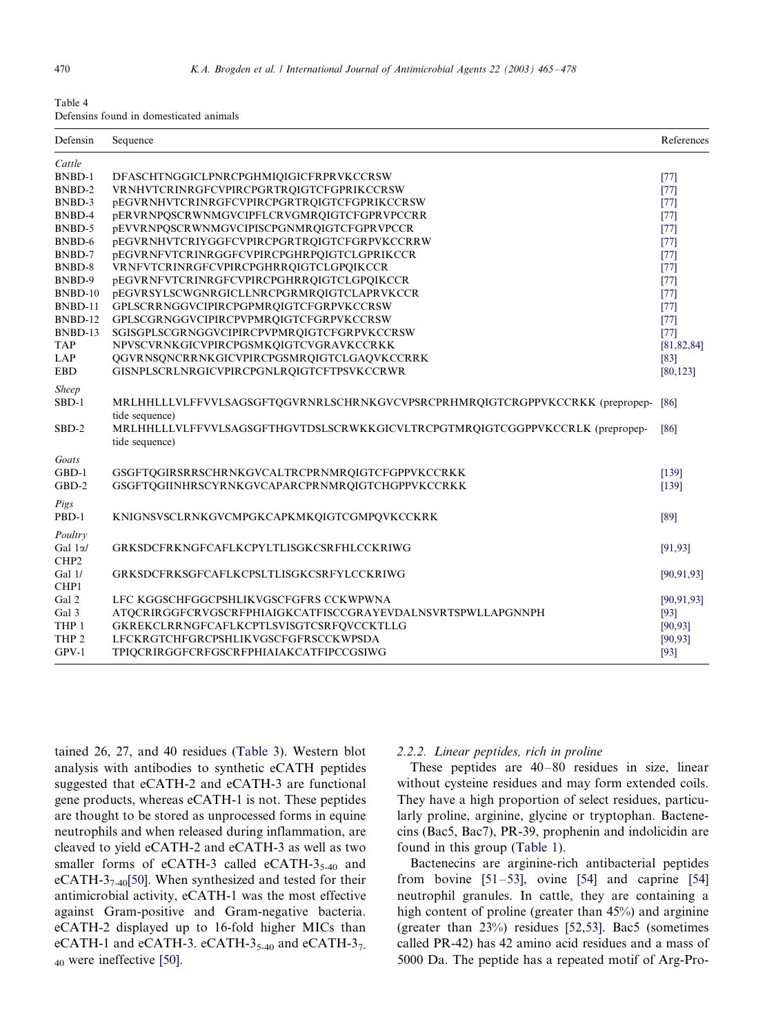<span id="page-5-0"></span>

| Table 4 |  |                                         |  |
|---------|--|-----------------------------------------|--|
|         |  | Defensins found in domesticated animals |  |

| Cattle<br><b>BNBD-1</b><br>DFASCHTNGGICLPNRCPGHMIQIGICFRPRVKCCRSW<br>BNBD-2<br>VRNHVTCRINRGFCVPIRCPGRTROIGTCFGPRIKCCRSW<br>BNBD-3<br>pEGVRNHVTCRINRGFCVPIRCPGRTRQIGTCFGPRIKCCRSW<br>pERVRNPQSCRWNMGVCIPFLCRVGMRQIGTCFGPRVPCCRR<br>BNBD-4<br>BNBD-5<br>pEVVRNPQSCRWNMGVCIPISCPGNMRQIGTCFGPRVPCCR<br>BNBD-6<br><b>pEGVRNHVTCRIYGGFCVPIRCPGRTRQIGTCFGRPVKCCRRW</b> | [77]<br>[77]<br>[77]<br>[77]<br>$[77]$<br>[77]<br>$[77]$<br>$[77]$ |
|-----------------------------------------------------------------------------------------------------------------------------------------------------------------------------------------------------------------------------------------------------------------------------------------------------------------------------------------------------------------|--------------------------------------------------------------------|
|                                                                                                                                                                                                                                                                                                                                                                 |                                                                    |
|                                                                                                                                                                                                                                                                                                                                                                 |                                                                    |
|                                                                                                                                                                                                                                                                                                                                                                 |                                                                    |
|                                                                                                                                                                                                                                                                                                                                                                 |                                                                    |
|                                                                                                                                                                                                                                                                                                                                                                 |                                                                    |
|                                                                                                                                                                                                                                                                                                                                                                 |                                                                    |
|                                                                                                                                                                                                                                                                                                                                                                 |                                                                    |
| BNBD-7<br>pEGVRNFVTCRINRGGFCVPIRCPGHRPQIGTCLGPRIKCCR                                                                                                                                                                                                                                                                                                            |                                                                    |
| BNBD-8<br>VRNFVTCRINRGFCVPIRCPGHRRQIGTCLGPQIKCCR                                                                                                                                                                                                                                                                                                                |                                                                    |
| <b>pEGVRNFVTCRINRGFCVPIRCPGHRROIGTCLGPOIKCCR</b><br>BNBD-9                                                                                                                                                                                                                                                                                                      | $[77]$                                                             |
| BNBD-10<br>pEGVRSYLSCWGNRGICLLNRCPGRMRQIGTCLAPRVKCCR                                                                                                                                                                                                                                                                                                            | $[77]$                                                             |
| BNBD-11<br>GPLSCRRNGGVCIPIRCPGPMROIGTCFGRPVKCCRSW                                                                                                                                                                                                                                                                                                               | $[77]$                                                             |
| BNBD-12<br>GPLSCGRNGGVCIPIRCPVPMRQIGTCFGRPVKCCRSW                                                                                                                                                                                                                                                                                                               | $[77]$                                                             |
| BNBD-13<br>SGISGPLSCGRNGGVCIPIRCPVPMRQIGTCFGRPVKCCRSW                                                                                                                                                                                                                                                                                                           | $[77]$                                                             |
| <b>TAP</b><br>NPVSCVRNKGICVPIRCPGSMKQIGTCVGRAVKCCRKK                                                                                                                                                                                                                                                                                                            | [81, 82, 84]                                                       |
| <b>LAP</b><br>QGVRNSQNCRRNKGICVPIRCPGSMRQIGTCLGAQVKCCRRK                                                                                                                                                                                                                                                                                                        | $[83]$                                                             |
| <b>EBD</b><br>GISNPLSCRLNRGICVPIRCPGNLRQIGTCFTPSVKCCRWR                                                                                                                                                                                                                                                                                                         | [80, 123]                                                          |
| <b>Sheep</b>                                                                                                                                                                                                                                                                                                                                                    |                                                                    |
| $SBD-1$<br>MRLHHLLLVLFFVVLSAGSGFTQGVRNRLSCHRNKGVCVPSRCPRHMRQIGTCRGPPVKCCRKK (prepropep-                                                                                                                                                                                                                                                                         | [86]                                                               |
| tide sequence)                                                                                                                                                                                                                                                                                                                                                  |                                                                    |
| MRLHHLLLVLFFVVLSAGSGFTHGVTDSLSCRWKKGICVLTRCPGTMRQIGTCGGPPVKCCRLK (prepropep-<br>$SBD-2$                                                                                                                                                                                                                                                                         | [86]                                                               |
| tide sequence)                                                                                                                                                                                                                                                                                                                                                  |                                                                    |
| Goats                                                                                                                                                                                                                                                                                                                                                           |                                                                    |
| GBD-1<br>GSGFTQGIRSRRSCHRNKGVCALTRCPRNMRQIGTCFGPPVKCCRKK                                                                                                                                                                                                                                                                                                        | [139]                                                              |
| $GBD-2$<br>GSGFTQGIINHRSCYRNKGVCAPARCPRNMRQIGTCHGPPVKCCRKK                                                                                                                                                                                                                                                                                                      | [139]                                                              |
| Pigs                                                                                                                                                                                                                                                                                                                                                            |                                                                    |
| PBD-1<br>KNIGNSVSCLRNKGVCMPGKCAPKMKQIGTCGMPQVKCCKRK                                                                                                                                                                                                                                                                                                             | [89]                                                               |
|                                                                                                                                                                                                                                                                                                                                                                 |                                                                    |
| Poultry                                                                                                                                                                                                                                                                                                                                                         |                                                                    |
| Gal $1\alpha$ /<br>GRKSDCFRKNGFCAFLKCPYLTLISGKCSRFHLCCKRIWG                                                                                                                                                                                                                                                                                                     | [91, 93]                                                           |
| CHP <sub>2</sub>                                                                                                                                                                                                                                                                                                                                                |                                                                    |
| Gal 1/<br><b>GRKSDCFRKSGFCAFLKCPSLTLISGKCSRFYLCCKRIWG</b>                                                                                                                                                                                                                                                                                                       | [90, 91, 93]                                                       |
| CHP1                                                                                                                                                                                                                                                                                                                                                            |                                                                    |
| Gal 2<br>LFC KGGSCHFGGCPSHLIKVGSCFGFRS CCKWPWNA                                                                                                                                                                                                                                                                                                                 | [90, 91, 93]                                                       |
| Gal 3<br>ATQCRIRGGFCRVGSCRFPHIAIGKCATFISCCGRAYEVDALNSVRTSPWLLAPGNNPH                                                                                                                                                                                                                                                                                            | $[93]$                                                             |
| THP 1<br>GKREKCLRRNGFCAFLKCPTLSVISGTCSRFOVCCKTLLG                                                                                                                                                                                                                                                                                                               | [90, 93]                                                           |
| THP <sub>2</sub><br>LFCKRGTCHFGRCPSHLIKVGSCFGFRSCCKWPSDA                                                                                                                                                                                                                                                                                                        | [90, 93]                                                           |
| $GPV-1$<br>TPIQCRIRGGFCRFGSCRFPHIAIAKCATFIPCCGSIWG                                                                                                                                                                                                                                                                                                              | [93]                                                               |

tained 26, 27, and 40 residues [\(Table 3\)](#page-4-0). Western blot analysis with antibodies to synthetic eCATH peptides suggested that eCATH-2 and eCATH-3 are functional gene products, whereas eCATH-1 is not. These peptides are thought to be stored as unprocessed forms in equine neutrophils and when released during inflammation, are cleaved to yield eCATH-2 and eCATH-3 as well as two smaller forms of eCATH-3 called eCATH- $3<sub>5-40</sub>$  and eCATH-3 $_{7-40}$ [\[50\]](#page-11-0). When synthesized and tested for their antimicrobial activity, eCATH-1 was the most effective against Gram-positive and Gram-negative bacteria. eCATH-2 displayed up to 16-fold higher MICs than eCATH-1 and eCATH-3. eCATH-3<sub>5-40</sub> and eCATH-3<sub>7-</sub> <sup>40</sup> were ineffective [\[50\].](#page-11-0)

#### 2.2.2. Linear peptides, rich in proline

These peptides are  $40-80$  residues in size, linear without cysteine residues and may form extended coils. They have a high proportion of select residues, particularly proline, arginine, glycine or tryptophan. Bactenecins (Bac5, Bac7), PR-39, prophenin and indolicidin are found in this group ([Table 1](#page-1-0)).

Bactenecins are arginine-rich antibacterial peptides from bovine  $[51-53]$  $[51-53]$ , ovine  $[54]$  and caprine  $[54]$ neutrophil granules. In cattle, they are containing a high content of proline (greater than 45%) and arginine (greater than 23%) residues [\[52,53\].](#page-11-0) Bac5 (sometimes called PR-42) has 42 amino acid residues and a mass of 5000 Da. The peptide has a repeated motif of Arg-Pro-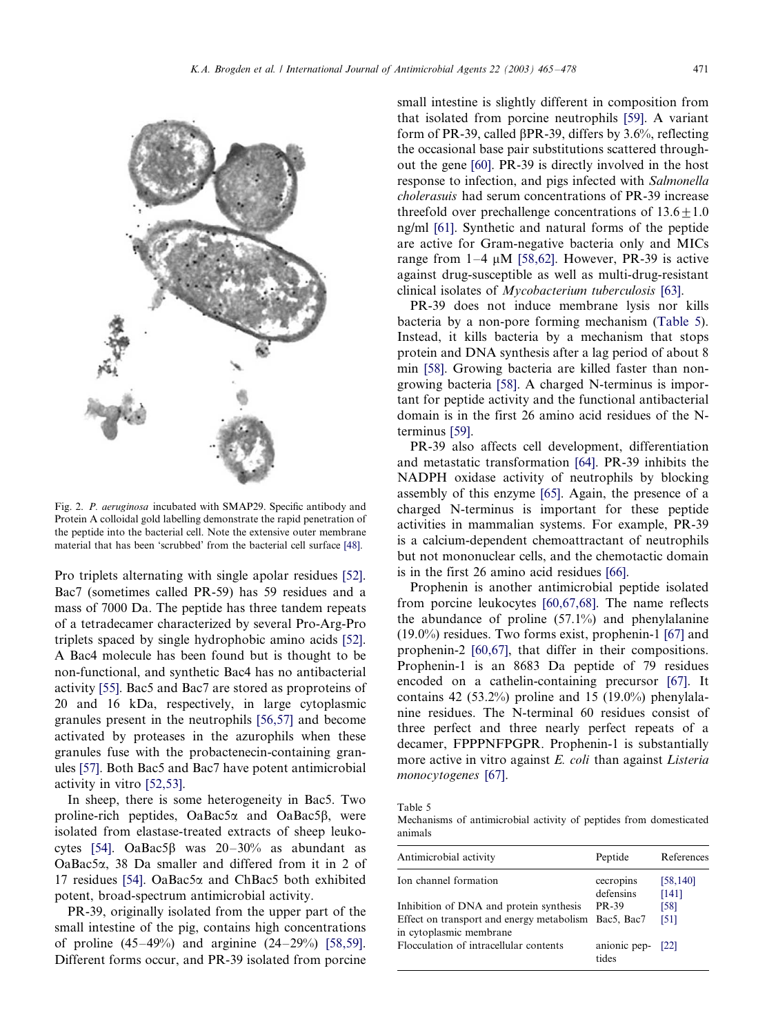out the gene [\[60\].](#page-11-0) PR-39 is directly involved in the host response to infection, and pigs infected with Salmonella cholerasuis had serum concentrations of PR-39 increase

<span id="page-6-0"></span>

Fig. 2. P. aeruginosa incubated with SMAP29. Specific antibody and Protein A colloidal gold labelling demonstrate the rapid penetration of the peptide into the bacterial cell. Note the extensive outer membrane material that has been 'scrubbed' from the bacterial cell surface [\[48\]](#page-11-0).

Pro triplets alternating with single apolar residues [\[52\]](#page-11-0). Bac7 (sometimes called PR-59) has 59 residues and a mass of 7000 Da. The peptide has three tandem repeats of a tetradecamer characterized by several Pro-Arg-Pro triplets spaced by single hydrophobic amino acids [\[52\]](#page-11-0). A Bac4 molecule has been found but is thought to be non-functional, and synthetic Bac4 has no antibacterial activity [\[55\]](#page-11-0). Bac5 and Bac7 are stored as proproteins of 20 and 16 kDa, respectively, in large cytoplasmic granules present in the neutrophils [\[56,57\]](#page-11-0) and become activated by proteases in the azurophils when these granules fuse with the probactenecin-containing granules [\[57\]](#page-11-0). Both Bac5 and Bac7 have potent antimicrobial activity in vitro [\[52,53\].](#page-11-0)

In sheep, there is some heterogeneity in Bac5. Two proline-rich peptides,  $OaBac5\alpha$  and  $OaBac5\beta$ , were isolated from elastase-treated extracts of sheep leuko-cytes [\[54\]](#page-11-0). OaBac5 $\beta$  was 20-30% as abundant as OaBac5a, 38 Da smaller and differed from it in 2 of 17 residues [\[54\].](#page-11-0) OaBac5 $\alpha$  and ChBac5 both exhibited potent, broad-spectrum antimicrobial activity.

PR-39, originally isolated from the upper part of the small intestine of the pig, contains high concentrations of proline  $(45-49\%)$  and arginine  $(24-29\%)$  [\[58,59\]](#page-11-0). Different forms occur, and PR-39 isolated from porcine

threefold over prechallenge concentrations of  $13.6 \pm 1.0$ ng/ml [\[61\]](#page-11-0). Synthetic and natural forms of the peptide are active for Gram-negative bacteria only and MICs range from  $1-4 \mu M$  [\[58,62\].](#page-11-0) However, PR-39 is active against drug-susceptible as well as multi-drug-resistant clinical isolates of Mycobacterium tuberculosis [\[63\]](#page-11-0). PR-39 does not induce membrane lysis nor kills bacteria by a non-pore forming mechanism (Table 5). Instead, it kills bacteria by a mechanism that stops protein and DNA synthesis after a lag period of about 8

min [\[58\].](#page-11-0) Growing bacteria are killed faster than nongrowing bacteria [\[58\].](#page-11-0) A charged N-terminus is important for peptide activity and the functional antibacterial domain is in the first 26 amino acid residues of the Nterminus [\[59\].](#page-11-0)

PR-39 also affects cell development, differentiation and metastatic transformation [\[64\].](#page-11-0) PR-39 inhibits the NADPH oxidase activity of neutrophils by blocking assembly of this enzyme [\[65\]](#page-11-0). Again, the presence of a charged N-terminus is important for these peptide activities in mammalian systems. For example, PR-39 is a calcium-dependent chemoattractant of neutrophils but not mononuclear cells, and the chemotactic domain is in the first 26 amino acid residues [\[66\]](#page-11-0).

Prophenin is another antimicrobial peptide isolated from porcine leukocytes [\[60,67,68\]](#page-11-0). The name reflects the abundance of proline (57.1%) and phenylalanine (19.0%) residues. Two forms exist, prophenin-1 [\[67\]](#page-11-0) and prophenin-2 [\[60,67\],](#page-11-0) that differ in their compositions. Prophenin-1 is an 8683 Da peptide of 79 residues encoded on a cathelin-containing precursor [\[67\]](#page-11-0). It contains 42 (53.2%) proline and 15 (19.0%) phenylalanine residues. The N-terminal 60 residues consist of three perfect and three nearly perfect repeats of a decamer, FPPPNFPGPR. Prophenin-1 is substantially more active in vitro against E. coli than against Listeria monocytogenes [\[67\]](#page-11-0).

Table 5

Mechanisms of antimicrobial activity of peptides from domesticated animals

| Antimicrobial activity                                                          | Peptide                    | References |
|---------------------------------------------------------------------------------|----------------------------|------------|
| Ion channel formation                                                           | cecropins                  | [58, 140]  |
|                                                                                 | defensins                  | [141]      |
| Inhibition of DNA and protein synthesis                                         | <b>PR-39</b>               | [58]       |
| Effect on transport and energy metabolism Bac5, Bac7<br>in cytoplasmic membrane |                            | [51]       |
| Flocculation of intracellular contents                                          | anionic pep- [22]<br>tides |            |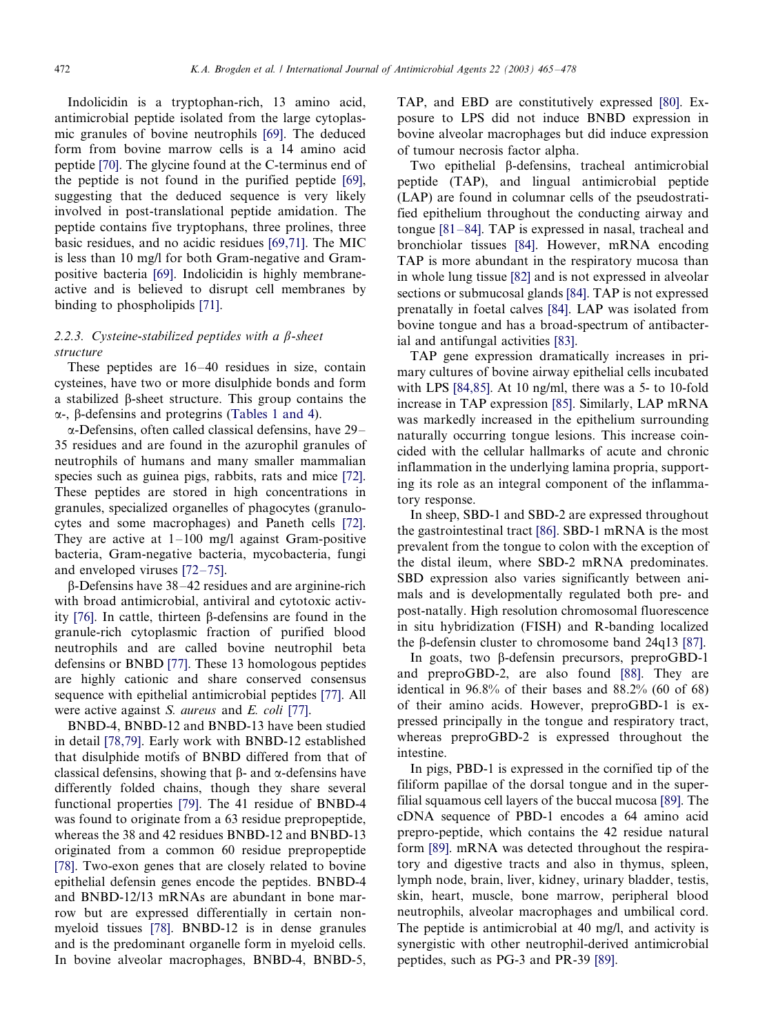Indolicidin is a tryptophan-rich, 13 amino acid, antimicrobial peptide isolated from the large cytoplasmic granules of bovine neutrophils [\[69\]](#page-12-0). The deduced form from bovine marrow cells is a 14 amino acid peptide [\[70\]](#page-12-0). The glycine found at the C-terminus end of the peptide is not found in the purified peptide [\[69\]](#page-12-0), suggesting that the deduced sequence is very likely involved in post-translational peptide amidation. The peptide contains five tryptophans, three prolines, three basic residues, and no acidic residues [\[69,71\]](#page-12-0). The MIC is less than 10 mg/l for both Gram-negative and Grampositive bacteria [\[69\]](#page-12-0). Indolicidin is highly membraneactive and is believed to disrupt cell membranes by binding to phospholipids [\[71\]](#page-12-0).

# 2.2.3. Cysteine-stabilized peptides with a  $\beta$ -sheet structure

These peptides are  $16-40$  residues in size, contain cysteines, have two or more disulphide bonds and form a stabilized b-sheet structure. This group contains the  $\alpha$ -, B-defensins and protegrins [\(Tables 1 and 4](#page-1-0)).

 $\alpha$ -Defensins, often called classical defensins, have 29– 35 residues and are found in the azurophil granules of neutrophils of humans and many smaller mammalian species such as guinea pigs, rabbits, rats and mice [\[72\]](#page-12-0). These peptides are stored in high concentrations in granules, specialized organelles of phagocytes (granulocytes and some macrophages) and Paneth cells [\[72\]](#page-12-0). They are active at  $1-100$  mg/l against Gram-positive bacteria, Gram-negative bacteria, mycobacteria, fungi and enveloped viruses  $[72-75]$  $[72-75]$ .

 $\beta$ -Defensins have 38-42 residues and are arginine-rich with broad antimicrobial, antiviral and cytotoxic activ-ity [\[76\]](#page-12-0). In cattle, thirteen  $\beta$ -defensins are found in the granule-rich cytoplasmic fraction of purified blood neutrophils and are called bovine neutrophil beta defensins or BNBD [\[77\]](#page-12-0). These 13 homologous peptides are highly cationic and share conserved consensus sequence with epithelial antimicrobial peptides [\[77\].](#page-12-0) All were active against S. aureus and E. coli [\[77\].](#page-12-0)

BNBD-4, BNBD-12 and BNBD-13 have been studied in detail [\[78,79\]](#page-12-0). Early work with BNBD-12 established that disulphide motifs of BNBD differed from that of classical defensins, showing that  $\beta$ - and  $\alpha$ -defensins have differently folded chains, though they share several functional properties [\[79\]](#page-12-0). The 41 residue of BNBD-4 was found to originate from a 63 residue prepropeptide, whereas the 38 and 42 residues BNBD-12 and BNBD-13 originated from a common 60 residue prepropeptide [\[78\]](#page-12-0). Two-exon genes that are closely related to bovine epithelial defensin genes encode the peptides. BNBD-4 and BNBD-12/13 mRNAs are abundant in bone marrow but are expressed differentially in certain nonmyeloid tissues [\[78\].](#page-12-0) BNBD-12 is in dense granules and is the predominant organelle form in myeloid cells. In bovine alveolar macrophages, BNBD-4, BNBD-5, TAP, and EBD are constitutively expressed [\[80\]](#page-12-0). Exposure to LPS did not induce BNBD expression in bovine alveolar macrophages but did induce expression of tumour necrosis factor alpha.

Two epithelial b-defensins, tracheal antimicrobial peptide (TAP), and lingual antimicrobial peptide (LAP) are found in columnar cells of the pseudostratified epithelium throughout the conducting airway and tongue  $[81-84]$  $[81-84]$ . TAP is expressed in nasal, tracheal and bronchiolar tissues [\[84\].](#page-12-0) However, mRNA encoding TAP is more abundant in the respiratory mucosa than in whole lung tissue [\[82\]](#page-12-0) and is not expressed in alveolar sections or submucosal glands [\[84\].](#page-12-0) TAP is not expressed prenatally in foetal calves [\[84\].](#page-12-0) LAP was isolated from bovine tongue and has a broad-spectrum of antibacterial and antifungal activities [\[83\].](#page-12-0)

TAP gene expression dramatically increases in primary cultures of bovine airway epithelial cells incubated with LPS [\[84,85\].](#page-12-0) At 10 ng/ml, there was a 5- to 10-fold increase in TAP expression [\[85\]](#page-12-0). Similarly, LAP mRNA was markedly increased in the epithelium surrounding naturally occurring tongue lesions. This increase coincided with the cellular hallmarks of acute and chronic inflammation in the underlying lamina propria, supporting its role as an integral component of the inflammatory response.

In sheep, SBD-1 and SBD-2 are expressed throughout the gastrointestinal tract [\[86\].](#page-12-0) SBD-1 mRNA is the most prevalent from the tongue to colon with the exception of the distal ileum, where SBD-2 mRNA predominates. SBD expression also varies significantly between animals and is developmentally regulated both pre- and post-natally. High resolution chromosomal fluorescence in situ hybridization (FISH) and R-banding localized the  $\beta$ -defensin cluster to chromosome band 24q13 [\[87\]](#page-12-0).

In goats, two b-defensin precursors, preproGBD-1 and preproGBD-2, are also found [\[88\].](#page-12-0) They are identical in 96.8% of their bases and 88.2% (60 of 68) of their amino acids. However, preproGBD-1 is expressed principally in the tongue and respiratory tract, whereas preproGBD-2 is expressed throughout the intestine.

In pigs, PBD-1 is expressed in the cornified tip of the filiform papillae of the dorsal tongue and in the superfilial squamous cell layers of the buccal mucosa [\[89\]](#page-12-0). The cDNA sequence of PBD-1 encodes a 64 amino acid prepro-peptide, which contains the 42 residue natural form [\[89\]](#page-12-0). mRNA was detected throughout the respiratory and digestive tracts and also in thymus, spleen, lymph node, brain, liver, kidney, urinary bladder, testis, skin, heart, muscle, bone marrow, peripheral blood neutrophils, alveolar macrophages and umbilical cord. The peptide is antimicrobial at 40 mg/l, and activity is synergistic with other neutrophil-derived antimicrobial peptides, such as PG-3 and PR-39 [\[89\].](#page-12-0)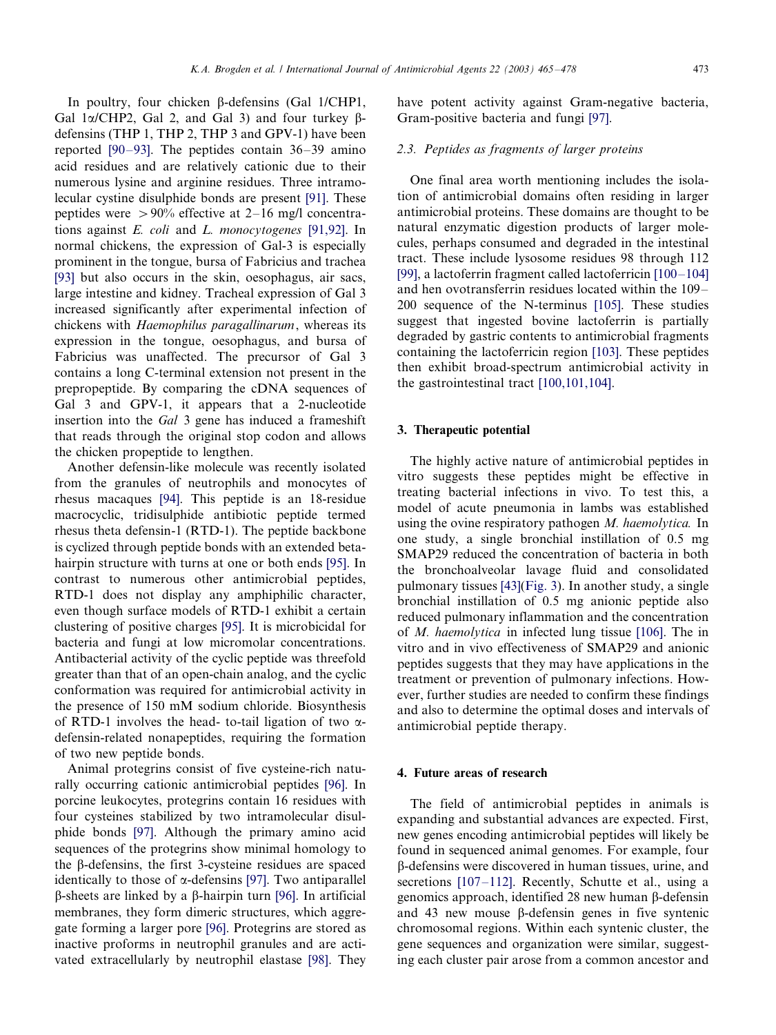In poultry, four chicken  $\beta$ -defensins (Gal 1/CHP1, Gal  $1\alpha$ /CHP2, Gal 2, and Gal 3) and four turkey  $\beta$ defensins (THP 1, THP 2, THP 3 and GPV-1) have been reported  $[90-93]$  $[90-93]$ . The peptides contain  $36-39$  amino acid residues and are relatively cationic due to their numerous lysine and arginine residues. Three intramolecular cystine disulphide bonds are present [\[91\].](#page-12-0) These peptides were  $> 90\%$  effective at 2–16 mg/l concentrations against E. coli and L. monocytogenes [\[91,92\].](#page-12-0) In normal chickens, the expression of Gal-3 is especially prominent in the tongue, bursa of Fabricius and trachea [\[93\]](#page-12-0) but also occurs in the skin, oesophagus, air sacs, large intestine and kidney. Tracheal expression of Gal 3 increased significantly after experimental infection of chickens with Haemophilus paragallinarum, whereas its expression in the tongue, oesophagus, and bursa of Fabricius was unaffected. The precursor of Gal 3 contains a long C-terminal extension not present in the prepropeptide. By comparing the cDNA sequences of Gal 3 and GPV-1, it appears that a 2-nucleotide insertion into the Gal 3 gene has induced a frameshift that reads through the original stop codon and allows the chicken propeptide to lengthen.

Another defensin-like molecule was recently isolated from the granules of neutrophils and monocytes of rhesus macaques [\[94\].](#page-12-0) This peptide is an 18-residue macrocyclic, tridisulphide antibiotic peptide termed rhesus theta defensin-1 (RTD-1). The peptide backbone is cyclized through peptide bonds with an extended betahairpin structure with turns at one or both ends [\[95\].](#page-12-0) In contrast to numerous other antimicrobial peptides, RTD-1 does not display any amphiphilic character, even though surface models of RTD-1 exhibit a certain clustering of positive charges [\[95\]](#page-12-0). It is microbicidal for bacteria and fungi at low micromolar concentrations. Antibacterial activity of the cyclic peptide was threefold greater than that of an open-chain analog, and the cyclic conformation was required for antimicrobial activity in the presence of 150 mM sodium chloride. Biosynthesis of RTD-1 involves the head- to-tail ligation of two  $\alpha$ defensin-related nonapeptides, requiring the formation of two new peptide bonds.

Animal protegrins consist of five cysteine-rich naturally occurring cationic antimicrobial peptides [\[96\].](#page-12-0) In porcine leukocytes, protegrins contain 16 residues with four cysteines stabilized by two intramolecular disulphide bonds [\[97\].](#page-12-0) Although the primary amino acid sequences of the protegrins show minimal homology to the  $\beta$ -defensins, the first 3-cysteine residues are spaced identically to those of  $\alpha$ -defensins [\[97\]](#page-12-0). Two antiparallel  $\beta$ -sheets are linked by a  $\beta$ -hairpin turn [\[96\].](#page-12-0) In artificial membranes, they form dimeric structures, which aggregate forming a larger pore [\[96\]](#page-12-0). Protegrins are stored as inactive proforms in neutrophil granules and are activated extracellularly by neutrophil elastase [\[98\].](#page-12-0) They have potent activity against Gram-negative bacteria, Gram-positive bacteria and fungi [\[97\]](#page-12-0).

# 2.3. Peptides as fragments of larger proteins

One final area worth mentioning includes the isolation of antimicrobial domains often residing in larger antimicrobial proteins. These domains are thought to be natural enzymatic digestion products of larger molecules, perhaps consumed and degraded in the intestinal tract. These include lysosome residues 98 through 112 [\[99\]](#page-12-0), a lactoferrin fragment called lactoferricin  $[100-104]$  $[100-104]$ and hen ovotransferrin residues located within the  $109-$ 200 sequence of the N-terminus [\[105\]](#page-12-0). These studies suggest that ingested bovine lactoferrin is partially degraded by gastric contents to antimicrobial fragments containing the lactoferricin region [\[103\].](#page-12-0) These peptides then exhibit broad-spectrum antimicrobial activity in the gastrointestinal tract [\[100,101,104\]](#page-12-0).

#### 3. Therapeutic potential

The highly active nature of antimicrobial peptides in vitro suggests these peptides might be effective in treating bacterial infections in vivo. To test this, a model of acute pneumonia in lambs was established using the ovine respiratory pathogen M. haemolytica. In one study, a single bronchial instillation of 0.5 mg SMAP29 reduced the concentration of bacteria in both the bronchoalveolar lavage fluid and consolidated pulmonary tissues [\[43\]\(](#page-11-0)[Fig. 3\)](#page-9-0). In another study, a single bronchial instillation of 0.5 mg anionic peptide also reduced pulmonary inflammation and the concentration of M. haemolytica in infected lung tissue [\[106\].](#page-12-0) The in vitro and in vivo effectiveness of SMAP29 and anionic peptides suggests that they may have applications in the treatment or prevention of pulmonary infections. However, further studies are needed to confirm these findings and also to determine the optimal doses and intervals of antimicrobial peptide therapy.

#### 4. Future areas of research

The field of antimicrobial peptides in animals is expanding and substantial advances are expected. First, new genes encoding antimicrobial peptides will likely be found in sequenced animal genomes. For example, four b-defensins were discovered in human tissues, urine, and secretions  $[107-112]$  $[107-112]$ . Recently, Schutte et al., using a genomics approach, identified  $28$  new human  $\beta$ -defensin and 43 new mouse  $\beta$ -defensin genes in five syntenic chromosomal regions. Within each syntenic cluster, the gene sequences and organization were similar, suggesting each cluster pair arose from a common ancestor and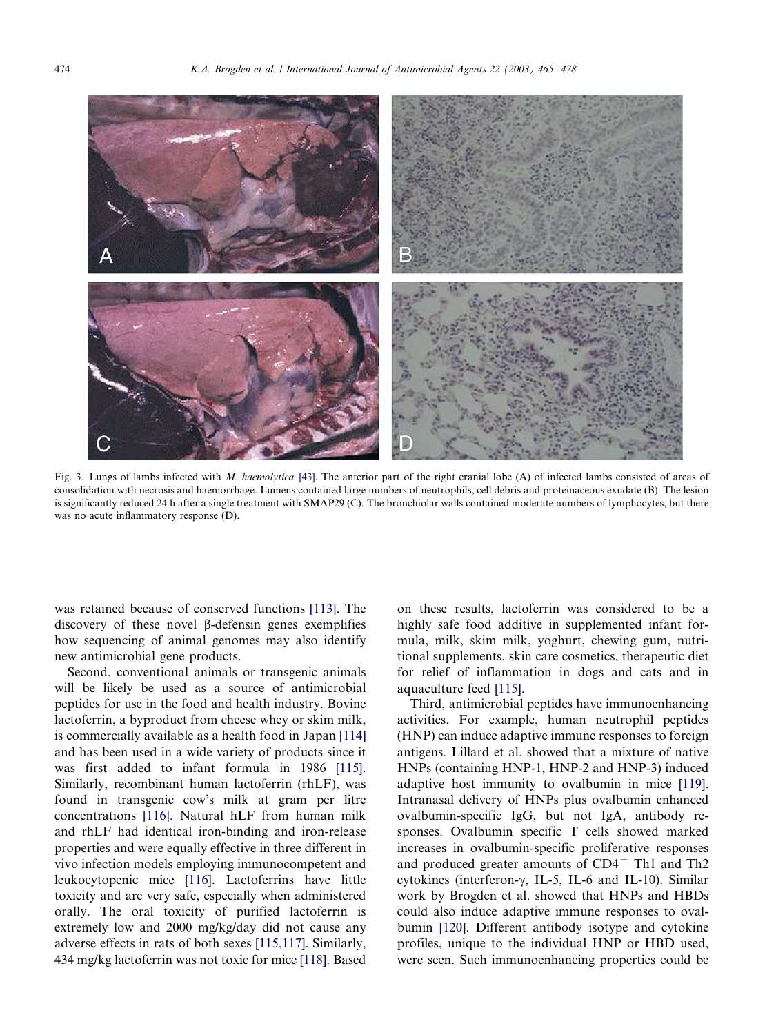<span id="page-9-0"></span>

Fig. 3. Lungs of lambs infected with M. haemolytica [\[43\].](#page-11-0) The anterior part of the right cranial lobe (A) of infected lambs consisted of areas of consolidation with necrosis and haemorrhage. Lumens contained large numbers of neutrophils, cell debris and proteinaceous exudate (B). The lesion is significantly reduced 24 h after a single treatment with SMAP29 (C). The bronchiolar walls contained moderate numbers of lymphocytes, but there was no acute inflammatory response (D).

was retained because of conserved functions [\[113\]](#page-13-0). The discovery of these novel  $\beta$ -defensin genes exemplifies how sequencing of animal genomes may also identify new antimicrobial gene products.

Second, conventional animals or transgenic animals will be likely be used as a source of antimicrobial peptides for use in the food and health industry. Bovine lactoferrin, a byproduct from cheese whey or skim milk, is commercially available as a health food in Japan [\[114\]](#page-13-0) and has been used in a wide variety of products since it was first added to infant formula in 1986 [\[115\]](#page-13-0). Similarly, recombinant human lactoferrin (rhLF), was found in transgenic cow's milk at gram per litre concentrations [\[116\]](#page-13-0). Natural hLF from human milk and rhLF had identical iron-binding and iron-release properties and were equally effective in three different in vivo infection models employing immunocompetent and leukocytopenic mice [\[116\]](#page-13-0). Lactoferrins have little toxicity and are very safe, especially when administered orally. The oral toxicity of purified lactoferrin is extremely low and 2000 mg/kg/day did not cause any adverse effects in rats of both sexes [\[115,117\]](#page-13-0). Similarly, 434 mg/kg lactoferrin was not toxic for mice [\[118\].](#page-13-0) Based

on these results, lactoferrin was considered to be a highly safe food additive in supplemented infant formula, milk, skim milk, yoghurt, chewing gum, nutritional supplements, skin care cosmetics, therapeutic diet for relief of inflammation in dogs and cats and in aquaculture feed [\[115\]](#page-13-0).

Third, antimicrobial peptides have immunoenhancing activities. For example, human neutrophil peptides (HNP) can induce adaptive immune responses to foreign antigens. Lillard et al. showed that a mixture of native HNPs (containing HNP-1, HNP-2 and HNP-3) induced adaptive host immunity to ovalbumin in mice [\[119\]](#page-13-0). Intranasal delivery of HNPs plus ovalbumin enhanced ovalbumin-specific IgG, but not IgA, antibody responses. Ovalbumin specific T cells showed marked increases in ovalbumin-specific proliferative responses and produced greater amounts of CD4<sup>+</sup> Th1 and Th2 cytokines (interferon- $\gamma$ , IL-5, IL-6 and IL-10). Similar work by Brogden et al. showed that HNPs and HBDs could also induce adaptive immune responses to ovalbumin [\[120\].](#page-13-0) Different antibody isotype and cytokine profiles, unique to the individual HNP or HBD used, were seen. Such immunoenhancing properties could be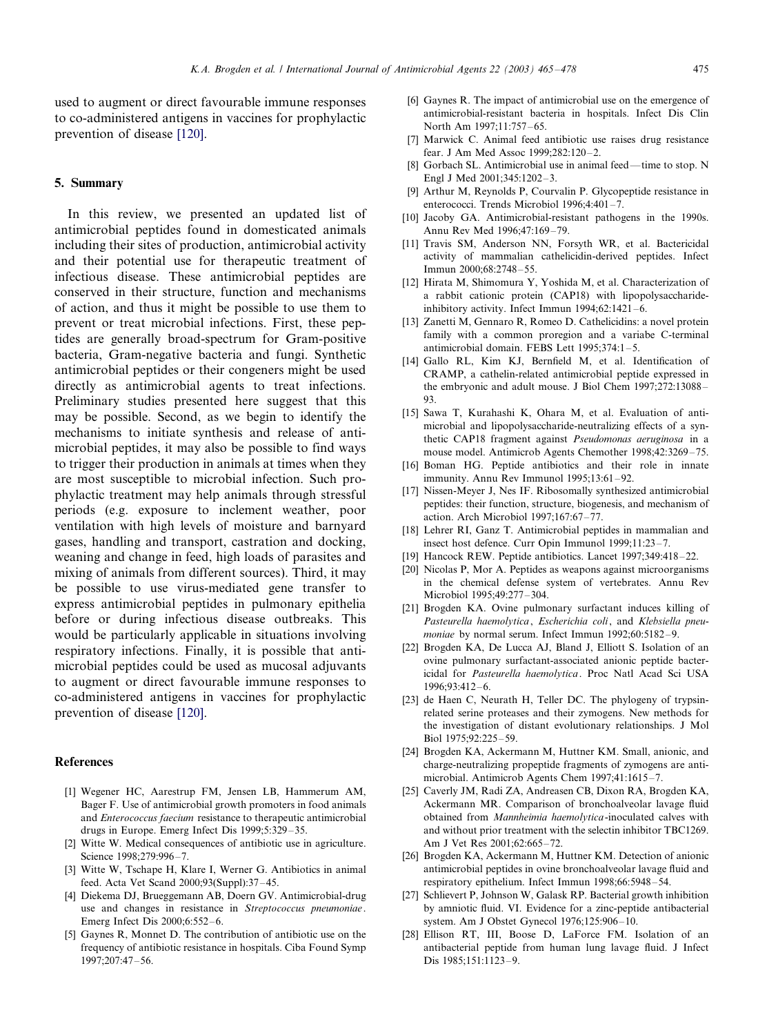<span id="page-10-0"></span>used to augment or direct favourable immune responses to co-administered antigens in vaccines for prophylactic prevention of disease [\[120\]](#page-13-0).

### 5. Summary

In this review, we presented an updated list of antimicrobial peptides found in domesticated animals including their sites of production, antimicrobial activity and their potential use for therapeutic treatment of infectious disease. These antimicrobial peptides are conserved in their structure, function and mechanisms of action, and thus it might be possible to use them to prevent or treat microbial infections. First, these peptides are generally broad-spectrum for Gram-positive bacteria, Gram-negative bacteria and fungi. Synthetic antimicrobial peptides or their congeners might be used directly as antimicrobial agents to treat infections. Preliminary studies presented here suggest that this may be possible. Second, as we begin to identify the mechanisms to initiate synthesis and release of antimicrobial peptides, it may also be possible to find ways to trigger their production in animals at times when they are most susceptible to microbial infection. Such prophylactic treatment may help animals through stressful periods (e.g. exposure to inclement weather, poor ventilation with high levels of moisture and barnyard gases, handling and transport, castration and docking, weaning and change in feed, high loads of parasites and mixing of animals from different sources). Third, it may be possible to use virus-mediated gene transfer to express antimicrobial peptides in pulmonary epithelia before or during infectious disease outbreaks. This would be particularly applicable in situations involving respiratory infections. Finally, it is possible that antimicrobial peptides could be used as mucosal adjuvants to augment or direct favourable immune responses to co-administered antigens in vaccines for prophylactic prevention of disease [\[120\]](#page-13-0).

## References

- [1] Wegener HC, Aarestrup FM, Jensen LB, Hammerum AM, Bager F. Use of antimicrobial growth promoters in food animals and Enterococcus faecium resistance to therapeutic antimicrobial drugs in Europe. Emerg Infect Dis  $1999; 5:329 - 35$ .
- [2] Witte W. Medical consequences of antibiotic use in agriculture. Science 1998:279:996-7.
- [3] Witte W, Tschape H, Klare I, Werner G, Antibiotics in animal feed. Acta Vet Scand 2000;93(Suppl):37-45.
- [4] Diekema DJ, Brueggemann AB, Doern GV. Antimicrobial-drug use and changes in resistance in Streptococcus pneumoniae . Emerg Infect Dis 2000:6:552-6.
- [5] Gaynes R, Monnet D. The contribution of antibiotic use on the frequency of antibiotic resistance in hospitals. Ciba Found Symp 1997:207:47-56.
- [6] Gaynes R. The impact of antimicrobial use on the emergence of antimicrobial-resistant bacteria in hospitals. Infect Dis Clin North Am 1997;11:757-65.
- [7] Marwick C. Animal feed antibiotic use raises drug resistance fear. J Am Med Assoc 1999:282:120-2.
- [8] Gorbach SL. Antimicrobial use in animal feed—time to stop. N Engl J Med 2001;345:1202-3.
- [9] Arthur M, Reynolds P, Courvalin P. Glycopeptide resistance in enterococci. Trends Microbiol  $1996:4:401-7$ .
- [10] Jacoby GA. Antimicrobial-resistant pathogens in the 1990s. Annu Rev Med 1996;47:169-79.
- [11] Travis SM, Anderson NN, Forsyth WR, et al. Bactericidal activity of mammalian cathelicidin-derived peptides. Infect Immun 2000:68:2748-55.
- [12] Hirata M, Shimomura Y, Yoshida M, et al. Characterization of a rabbit cationic protein (CAP18) with lipopolysaccharideinhibitory activity. Infect Immun  $1994;62:1421-6$ .
- [13] Zanetti M, Gennaro R, Romeo D. Cathelicidins: a novel protein family with a common proregion and a variabe C-terminal antimicrobial domain. FEBS Lett  $1995:374:1-5$ .
- [14] Gallo RL, Kim KJ, Bernfield M, et al. Identification of CRAMP, a cathelin-related antimicrobial peptide expressed in the embryonic and adult mouse. J Biol Chem 1997;272:13088-93.
- [15] Sawa T, Kurahashi K, Ohara M, et al. Evaluation of antimicrobial and lipopolysaccharide-neutralizing effects of a synthetic CAP18 fragment against Pseudomonas aeruginosa in a mouse model. Antimicrob Agents Chemother 1998;42:3269-75.
- [16] Boman HG. Peptide antibiotics and their role in innate immunity. Annu Rev Immunol 1995;13:61-92.
- [17] Nissen-Meyer J, Nes IF. Ribosomally synthesized antimicrobial peptides: their function, structure, biogenesis, and mechanism of action. Arch Microbiol 1997;167:67-77.
- [18] Lehrer RI, Ganz T. Antimicrobial peptides in mammalian and insect host defence. Curr Opin Immunol 1999;11:23-7.
- [19] Hancock REW. Peptide antibiotics. Lancet  $1997;349:418-22$ .
- [20] Nicolas P, Mor A. Peptides as weapons against microorganisms in the chemical defense system of vertebrates. Annu Rev Microbiol 1995;49:277-304.
- [21] Brogden KA. Ovine pulmonary surfactant induces killing of Pasteurella haemolytica, Escherichia coli, and Klebsiella pneumoniae by normal serum. Infect Immun 1992;60:5182-9.
- [22] Brogden KA, De Lucca AJ, Bland J, Elliott S. Isolation of an ovine pulmonary surfactant-associated anionic peptide bactericidal for Pasteurella haemolytica. Proc Natl Acad Sci USA 1996:93:412-6.
- [23] de Haen C, Neurath H, Teller DC. The phylogeny of trypsinrelated serine proteases and their zymogens. New methods for the investigation of distant evolutionary relationships. J Mol Biol  $1975.92.25-59$ .
- [24] Brogden KA, Ackermann M, Huttner KM. Small, anionic, and charge-neutralizing propeptide fragments of zymogens are antimicrobial. Antimicrob Agents Chem 1997;41:1615-7.
- [25] Caverly JM, Radi ZA, Andreasen CB, Dixon RA, Brogden KA, Ackermann MR. Comparison of bronchoalveolar lavage fluid obtained from Mannheimia haemolytica-inoculated calves with and without prior treatment with the selectin inhibitor TBC1269. Am J Vet Res 2001;62:665-72.
- [26] Brogden KA, Ackermann M, Huttner KM. Detection of anionic antimicrobial peptides in ovine bronchoalveolar lavage fluid and respiratory epithelium. Infect Immun 1998;66:5948-54.
- [27] Schlievert P, Johnson W, Galask RP. Bacterial growth inhibition by amniotic fluid. VI. Evidence for a zinc-peptide antibacterial system. Am J Obstet Gynecol  $1976:125:906-10$ .
- [28] Ellison RT, III, Boose D, LaForce FM. Isolation of an antibacterial peptide from human lung lavage fluid. J Infect Dis 1985:151:1123-9.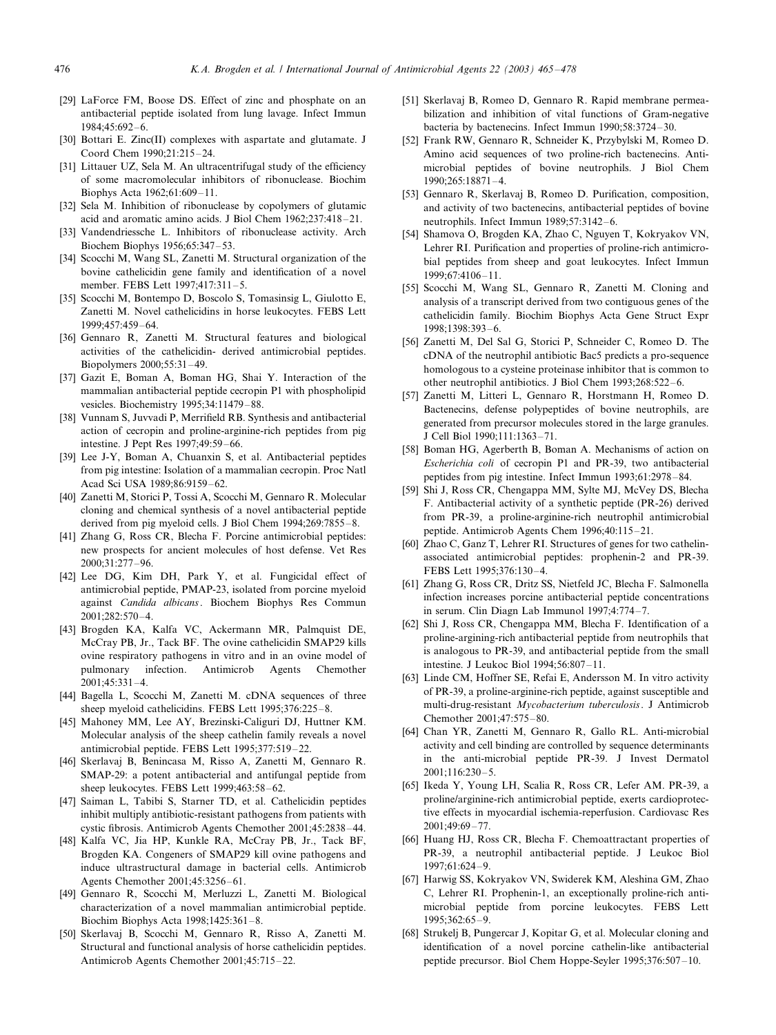- <span id="page-11-0"></span>[29] LaForce FM, Boose DS. Effect of zinc and phosphate on an antibacterial peptide isolated from lung lavage. Infect Immun 1984;45:692-6.
- [30] Bottari E. Zinc(II) complexes with aspartate and glutamate. J Coord Chem 1990;21:215-24.
- [31] Littauer UZ, Sela M. An ultracentrifugal study of the efficiency of some macromolecular inhibitors of ribonuclease. Biochim Biophys Acta 1962;61:609-11.
- [32] Sela M. Inhibition of ribonuclease by copolymers of glutamic acid and aromatic amino acids. J Biol Chem 1962;237:418-21.
- [33] Vandendriessche L. Inhibitors of ribonuclease activity. Arch Biochem Biophys  $1956:65:347-53$ .
- [34] Scocchi M, Wang SL, Zanetti M. Structural organization of the bovine cathelicidin gene family and identification of a novel member. FEBS Lett 1997;417:311-5.
- [35] Scocchi M, Bontempo D, Boscolo S, Tomasinsig L, Giulotto E, Zanetti M. Novel cathelicidins in horse leukocytes. FEBS Lett 1999:457:459-64.
- [36] Gennaro R, Zanetti M. Structural features and biological activities of the cathelicidin- derived antimicrobial peptides. Biopolymers 2000;55:31-49.
- [37] Gazit E, Boman A, Boman HG, Shai Y. Interaction of the mammalian antibacterial peptide cecropin P1 with phospholipid vesicles. Biochemistry  $1995:34:11479-88$ .
- [38] Vunnam S, Juvvadi P, Merrifield RB. Synthesis and antibacterial action of cecropin and proline-arginine-rich peptides from pig intestine. J Pept Res 1997;49:59-66.
- [39] Lee J-Y, Boman A, Chuanxin S, et al. Antibacterial peptides from pig intestine: Isolation of a mammalian cecropin. Proc Natl Acad Sci USA 1989:86:9159-62.
- [40] Zanetti M, Storici P, Tossi A, Scocchi M, Gennaro R. Molecular cloning and chemical synthesis of a novel antibacterial peptide derived from pig myeloid cells. J Biol Chem 1994;269:7855-8.
- [41] Zhang G, Ross CR, Blecha F. Porcine antimicrobial peptides: new prospects for ancient molecules of host defense. Vet Res  $2000 \cdot 31 \cdot 277 - 96$
- [42] Lee DG, Kim DH, Park Y, et al. Fungicidal effect of antimicrobial peptide, PMAP-23, isolated from porcine myeloid against Candida albicans. Biochem Biophys Res Commun 2001;282:570-4.
- [43] Brogden KA, Kalfa VC, Ackermann MR, Palmquist DE, McCray PB, Jr., Tack BF. The ovine cathelicidin SMAP29 kills ovine respiratory pathogens in vitro and in an ovine model of pulmonary infection. Antimicrob Agents Chemother  $2001;45:331-4.$
- [44] Bagella L, Scocchi M, Zanetti M. cDNA sequences of three sheep myeloid cathelicidins. FEBS Lett 1995;376:225-8.
- [45] Mahoney MM, Lee AY, Brezinski-Caliguri DJ, Huttner KM. Molecular analysis of the sheep cathelin family reveals a novel antimicrobial peptide. FEBS Lett 1995;377:519-22.
- [46] Skerlavaj B, Benincasa M, Risso A, Zanetti M, Gennaro R. SMAP-29: a potent antibacterial and antifungal peptide from sheep leukocytes. FEBS Lett 1999;463:58-62.
- [47] Saiman L, Tabibi S, Starner TD, et al. Cathelicidin peptides inhibit multiply antibiotic-resistant pathogens from patients with cystic fibrosis. Antimicrob Agents Chemother 2001;45:2838-44.
- [48] Kalfa VC, Jia HP, Kunkle RA, McCray PB, Jr., Tack BF, Brogden KA. Congeners of SMAP29 kill ovine pathogens and induce ultrastructural damage in bacterial cells. Antimicrob Agents Chemother 2001;45:3256-61.
- [49] Gennaro R, Scocchi M, Merluzzi L, Zanetti M. Biological characterization of a novel mammalian antimicrobial peptide. Biochim Biophys Acta 1998;1425:361-8.
- [50] Skerlavaj B, Scocchi M, Gennaro R, Risso A, Zanetti M. Structural and functional analysis of horse cathelicidin peptides. Antimicrob Agents Chemother 2001;45:715-22.
- [51] Skerlavaj B, Romeo D, Gennaro R. Rapid membrane permeabilization and inhibition of vital functions of Gram-negative bacteria by bactenecins. Infect Immun 1990;58:3724-30.
- [52] Frank RW, Gennaro R, Schneider K, Przybylski M, Romeo D. Amino acid sequences of two proline-rich bactenecins. Antimicrobial peptides of bovine neutrophils. J Biol Chem  $1990.265.18871 - 4$
- [53] Gennaro R, Skerlavaj B, Romeo D. Purification, composition, and activity of two bactenecins, antibacterial peptides of bovine neutrophils. Infect Immun 1989;57:3142-6.
- [54] Shamova O, Brogden KA, Zhao C, Nguyen T, Kokryakov VN, Lehrer RI. Purification and properties of proline-rich antimicrobial peptides from sheep and goat leukocytes. Infect Immun 1999;67:4106-11.
- [55] Scocchi M, Wang SL, Gennaro R, Zanetti M. Cloning and analysis of a transcript derived from two contiguous genes of the cathelicidin family. Biochim Biophys Acta Gene Struct Expr  $1998.1398.393-6$
- [56] Zanetti M, Del Sal G, Storici P, Schneider C, Romeo D. The cDNA of the neutrophil antibiotic Bac5 predicts a pro-sequence homologous to a cysteine proteinase inhibitor that is common to other neutrophil antibiotics. J Biol Chem 1993;268:522-6.
- [57] Zanetti M, Litteri L, Gennaro R, Horstmann H, Romeo D. Bactenecins, defense polypeptides of bovine neutrophils, are generated from precursor molecules stored in the large granules. J Cell Biol 1990;111:1363-71.
- [58] Boman HG, Agerberth B, Boman A. Mechanisms of action on Escherichia coli of cecropin P1 and PR-39, two antibacterial peptides from pig intestine. Infect Immun 1993;61:2978-84.
- [59] Shi J, Ross CR, Chengappa MM, Sylte MJ, McVey DS, Blecha F. Antibacterial activity of a synthetic peptide (PR-26) derived from PR-39, a proline-arginine-rich neutrophil antimicrobial peptide. Antimicrob Agents Chem 1996;40:115-21.
- [60] Zhao C, Ganz T, Lehrer RI. Structures of genes for two cathelinassociated antimicrobial peptides: prophenin-2 and PR-39. FEBS Lett 1995;376:130-4.
- [61] Zhang G, Ross CR, Dritz SS, Nietfeld JC, Blecha F. Salmonella infection increases porcine antibacterial peptide concentrations in serum. Clin Diagn Lab Immunol 1997;4:774-7.
- [62] Shi J, Ross CR, Chengappa MM, Blecha F. Identification of a proline-argining-rich antibacterial peptide from neutrophils that is analogous to PR-39, and antibacterial peptide from the small intestine. J Leukoc Biol 1994;56:807-11.
- [63] Linde CM, Hoffner SE, Refai E, Andersson M. In vitro activity of PR-39, a proline-arginine-rich peptide, against susceptible and multi-drug-resistant Mycobacterium tuberculosis. J Antimicrob Chemother  $2001:47:575-80$ .
- [64] Chan YR, Zanetti M, Gennaro R, Gallo RL. Anti-microbial activity and cell binding are controlled by sequence determinants in the anti-microbial peptide PR-39. J Invest Dermatol 2001;116:230-5.
- [65] Ikeda Y, Young LH, Scalia R, Ross CR, Lefer AM. PR-39, a proline/arginine-rich antimicrobial peptide, exerts cardioprotective effects in myocardial ischemia-reperfusion. Cardiovasc Res  $2001:49:69 - 77.$
- [66] Huang HJ, Ross CR, Blecha F. Chemoattractant properties of PR-39, a neutrophil antibacterial peptide. J Leukoc Biol 1997;61:624-9.
- [67] Harwig SS, Kokryakov VN, Swiderek KM, Aleshina GM, Zhao C, Lehrer RI. Prophenin-1, an exceptionally proline-rich antimicrobial peptide from porcine leukocytes. FEBS Lett 1995:362:65-9.
- [68] Strukelj B, Pungercar J, Kopitar G, et al. Molecular cloning and identification of a novel porcine cathelin-like antibacterial peptide precursor. Biol Chem Hoppe-Seyler 1995;376:507-10.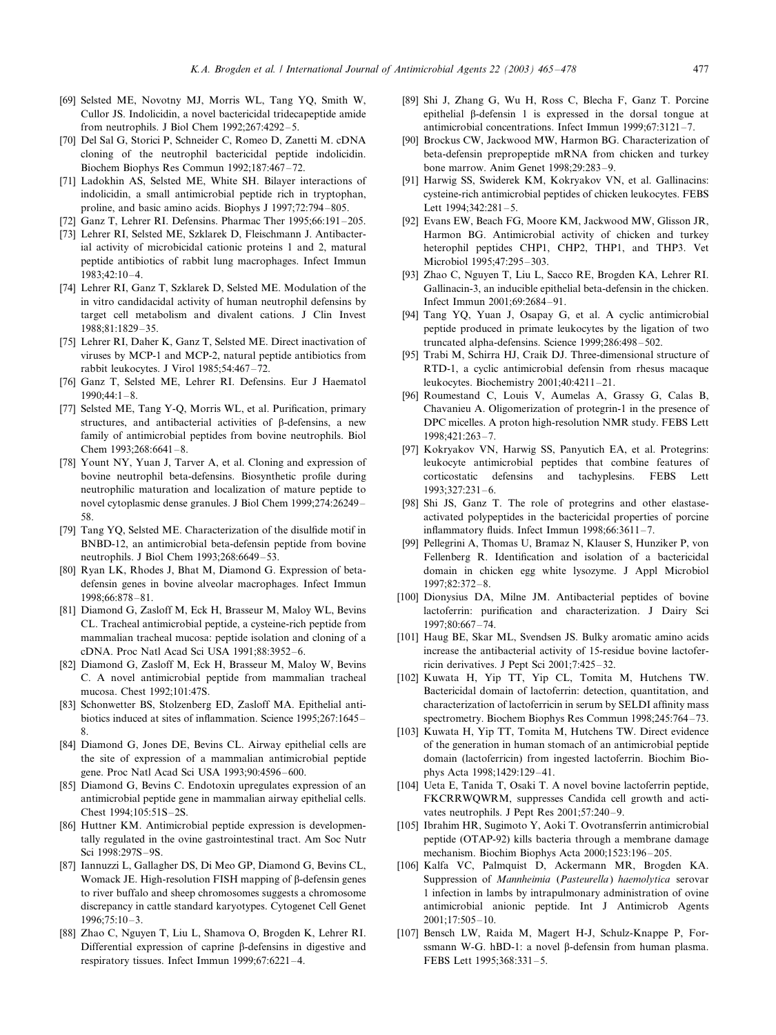- <span id="page-12-0"></span>[69] Selsted ME, Novotny MJ, Morris WL, Tang YQ, Smith W, Cullor JS. Indolicidin, a novel bactericidal tridecapeptide amide from neutrophils. J Biol Chem  $1992;267:4292-5$ .
- [70] Del Sal G, Storici P, Schneider C, Romeo D, Zanetti M. cDNA cloning of the neutrophil bactericidal peptide indolicidin. Biochem Biophys Res Commun 1992;187:467-72.
- [71] Ladokhin AS, Selsted ME, White SH. Bilayer interactions of indolicidin, a small antimicrobial peptide rich in tryptophan, proline, and basic amino acids. Biophys J 1997;72:794-805.
- [72] Ganz T, Lehrer RI. Defensins. Pharmac Ther 1995;66:191-205.
- [73] Lehrer RI, Selsted ME, Szklarek D, Fleischmann J. Antibacterial activity of microbicidal cationic proteins 1 and 2, matural peptide antibiotics of rabbit lung macrophages. Infect Immun 1983;42:10-4.
- [74] Lehrer RI, Ganz T, Szklarek D, Selsted ME. Modulation of the in vitro candidacidal activity of human neutrophil defensins by target cell metabolism and divalent cations. J Clin Invest  $1988.81.1829 - 35$
- [75] Lehrer RI, Daher K, Ganz T, Selsted ME. Direct inactivation of viruses by MCP-1 and MCP-2, natural peptide antibiotics from rabbit leukocytes. J Virol 1985;54:467-72.
- [76] Ganz T, Selsted ME, Lehrer RI. Defensins. Eur J Haematol  $1990 \cdot 44 \cdot 1 - 8$
- [77] Selsted ME, Tang Y-Q, Morris WL, et al. Purification, primary structures, and antibacterial activities of  $\beta$ -defensins, a new family of antimicrobial peptides from bovine neutrophils. Biol Chem  $1993;268:6641-8$ .
- [78] Yount NY, Yuan J, Tarver A, et al. Cloning and expression of bovine neutrophil beta-defensins. Biosynthetic profile during neutrophilic maturation and localization of mature peptide to novel cytoplasmic dense granules. J Biol Chem 1999;274:26249-58.
- [79] Tang YQ, Selsted ME. Characterization of the disulfide motif in BNBD-12, an antimicrobial beta-defensin peptide from bovine neutrophils. J Biol Chem 1993;268:6649-53.
- [80] Ryan LK, Rhodes J, Bhat M, Diamond G. Expression of betadefensin genes in bovine alveolar macrophages. Infect Immun 1998:66:878-81.
- [81] Diamond G, Zasloff M, Eck H, Brasseur M, Maloy WL, Bevins CL. Tracheal antimicrobial peptide, a cysteine-rich peptide from mammalian tracheal mucosa: peptide isolation and cloning of a cDNA. Proc Natl Acad Sci USA 1991;88:3952-6.
- [82] Diamond G, Zasloff M, Eck H, Brasseur M, Maloy W, Bevins C. A novel antimicrobial peptide from mammalian tracheal mucosa. Chest 1992;101:47S.
- [83] Schonwetter BS, Stolzenberg ED, Zasloff MA. Epithelial antibiotics induced at sites of inflammation. Science 1995;267:1645-8.
- [84] Diamond G, Jones DE, Bevins CL. Airway epithelial cells are the site of expression of a mammalian antimicrobial peptide gene. Proc Natl Acad Sci USA 1993;90:4596-600.
- [85] Diamond G, Bevins C. Endotoxin upregulates expression of an antimicrobial peptide gene in mammalian airway epithelial cells. Chest 1994;105:51S-2S.
- [86] Huttner KM. Antimicrobial peptide expression is developmentally regulated in the ovine gastrointestinal tract. Am Soc Nutr Sci 1998:297S-9S.
- [87] Iannuzzi L, Gallagher DS, Di Meo GP, Diamond G, Bevins CL, Womack JE. High-resolution FISH mapping of  $\beta$ -defensin genes to river buffalo and sheep chromosomes suggests a chromosome discrepancy in cattle standard karyotypes. Cytogenet Cell Genet  $1996:75:10-3.$
- [88] Zhao C, Nguyen T, Liu L, Shamova O, Brogden K, Lehrer RI. Differential expression of caprine  $\beta$ -defensins in digestive and respiratory tissues. Infect Immun  $1999:67:6221-4$ .
- [89] Shi J, Zhang G, Wu H, Ross C, Blecha F, Ganz T. Porcine epithelial b-defensin 1 is expressed in the dorsal tongue at antimicrobial concentrations. Infect Immun 1999;67:3121-7.
- [90] Brockus CW, Jackwood MW, Harmon BG. Characterization of beta-defensin prepropeptide mRNA from chicken and turkey bone marrow. Anim Genet 1998;29:283-9.
- [91] Harwig SS, Swiderek KM, Kokryakov VN, et al. Gallinacins: cysteine-rich antimicrobial peptides of chicken leukocytes. FEBS Lett 1994;342:281-5.
- [92] Evans EW, Beach FG, Moore KM, Jackwood MW, Glisson JR, Harmon BG. Antimicrobial activity of chicken and turkey heterophil peptides CHP1, CHP2, THP1, and THP3. Vet Microbiol 1995:47:295-303.
- [93] Zhao C, Nguyen T, Liu L, Sacco RE, Brogden KA, Lehrer RI. Gallinacin-3, an inducible epithelial beta-defensin in the chicken. Infect Immun 2001;69:2684-91.
- [94] Tang YQ, Yuan J, Osapay G, et al. A cyclic antimicrobial peptide produced in primate leukocytes by the ligation of two truncated alpha-defensins. Science  $1999:286:498-502$ .
- [95] Trabi M, Schirra HJ, Craik DJ. Three-dimensional structure of RTD-1, a cyclic antimicrobial defensin from rhesus macaque leukocytes. Biochemistry 2001;40:4211-21.
- [96] Roumestand C, Louis V, Aumelas A, Grassy G, Calas B, Chavanieu A. Oligomerization of protegrin-1 in the presence of DPC micelles. A proton high-resolution NMR study. FEBS Lett 1998:421:263-7.
- [97] Kokryakov VN, Harwig SS, Panyutich EA, et al. Protegrins: leukocyte antimicrobial peptides that combine features of corticostatic defensins and tachyplesins. FEBS Lett 1993;327:231-6.
- [98] Shi JS, Ganz T. The role of protegrins and other elastaseactivated polypeptides in the bactericidal properties of porcine inflammatory fluids. Infect Immun  $1998;66:3611-7$ .
- [99] Pellegrini A, Thomas U, Bramaz N, Klauser S, Hunziker P, von Fellenberg R. Identification and isolation of a bactericidal domain in chicken egg white lysozyme. J Appl Microbiol  $1997.82.372 - 8$
- [100] Dionysius DA, Milne JM. Antibacterial peptides of bovine lactoferrin: purification and characterization. J Dairy Sci 1997;80:667-74.
- [101] Haug BE, Skar ML, Svendsen JS. Bulky aromatic amino acids increase the antibacterial activity of 15-residue bovine lactoferricin derivatives. J Pept Sci  $2001;7:425-32$ .
- [102] Kuwata H, Yip TT, Yip CL, Tomita M, Hutchens TW. Bactericidal domain of lactoferrin: detection, quantitation, and characterization of lactoferricin in serum by SELDI affinity mass spectrometry. Biochem Biophys Res Commun 1998;245:764-73.
- [103] Kuwata H, Yip TT, Tomita M, Hutchens TW. Direct evidence of the generation in human stomach of an antimicrobial peptide domain (lactoferricin) from ingested lactoferrin. Biochim Biophys Acta 1998;1429:129-41.
- [104] Ueta E, Tanida T, Osaki T. A novel bovine lactoferrin peptide, FKCRRWQWRM, suppresses Candida cell growth and activates neutrophils. J Pept Res 2001;57:240-9.
- [105] Ibrahim HR, Sugimoto Y, Aoki T. Ovotransferrin antimicrobial peptide (OTAP-92) kills bacteria through a membrane damage mechanism. Biochim Biophys Acta 2000;1523:196-205.
- [106] Kalfa VC, Palmquist D, Ackermann MR, Brogden KA. Suppression of Mannheimia (Pasteurella) haemolytica serovar 1 infection in lambs by intrapulmonary administration of ovine antimicrobial anionic peptide. Int J Antimicrob Agents  $2001:17:505-10.$
- [107] Bensch LW, Raida M, Magert H-J, Schulz-Knappe P, Forssmann W-G. hBD-1: a novel  $\beta$ -defensin from human plasma. FEBS Lett 1995:368:331-5.